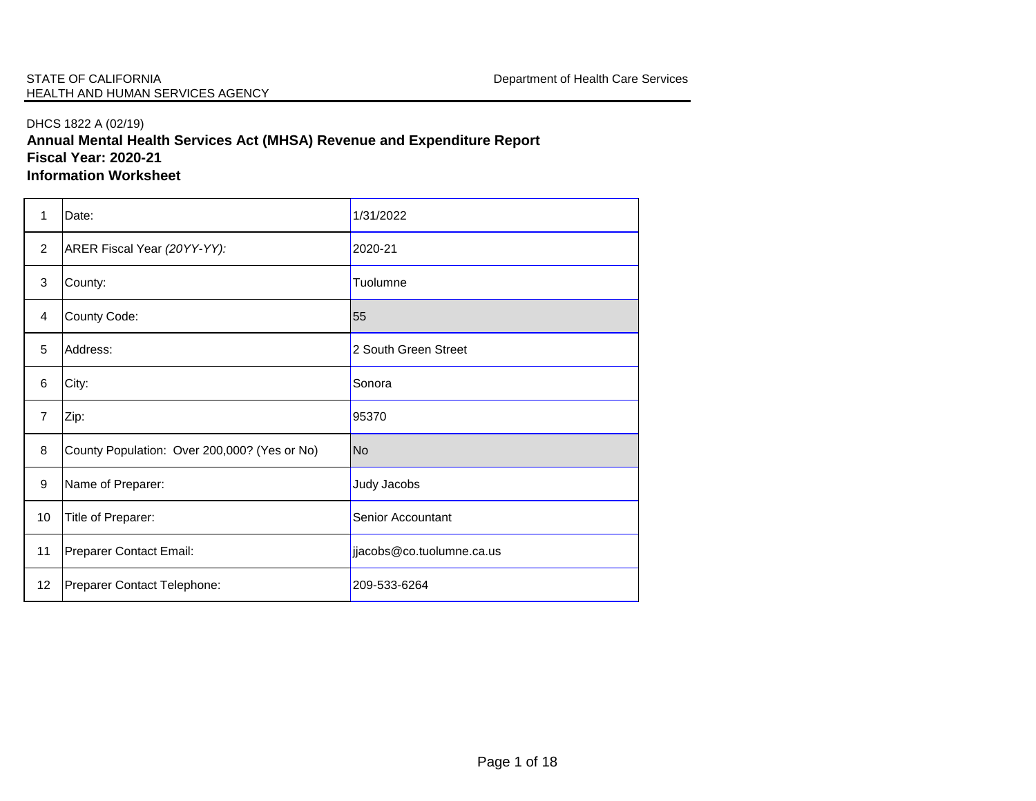## DHCS 1822 A (02/19)

**Annual Mental Health Services Act (MHSA) Revenue and Expenditure Report Fiscal Year: 2020-21**

**Information Worksheet**

| 1              | Date:                                        | 1/31/2022                 |
|----------------|----------------------------------------------|---------------------------|
| $\overline{2}$ | ARER Fiscal Year (20YY-YY):                  | 2020-21                   |
| $\sqrt{3}$     | County:                                      | Tuolumne                  |
| 4              | County Code:                                 | 55                        |
| 5              | Address:                                     | 2 South Green Street      |
| 6              | City:                                        | Sonora                    |
| $\overline{7}$ | Zip:                                         | 95370                     |
| 8              | County Population: Over 200,000? (Yes or No) | <b>No</b>                 |
| 9              | Name of Preparer:                            | Judy Jacobs               |
| 10             | Title of Preparer:                           | Senior Accountant         |
| 11             | Preparer Contact Email:                      | jjacobs@co.tuolumne.ca.us |
| 12             | Preparer Contact Telephone:                  | 209-533-6264              |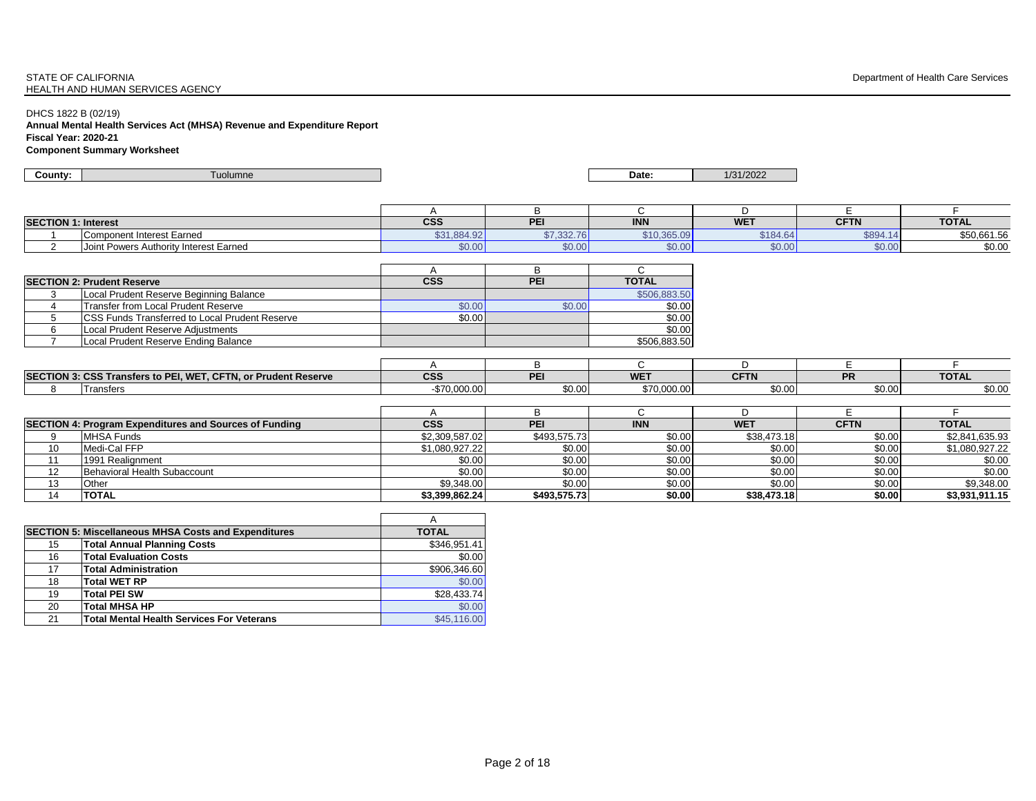#### STATE OF CALIFORNIA **STATE OF CALIFORNIA** Department of Health Care Services HEALTH AND HUMAN SERVICES AGENCY

DHCS 1822 B (02/19)

**Annual Mental Health Services Act (MHSA) Revenue and Expenditure Report Fiscal Year: 2020-21 Component Summary Worksheet**

| County:                    | Tuolumne                               |             |            | Date:       | 1/31/2022  |             |              |
|----------------------------|----------------------------------------|-------------|------------|-------------|------------|-------------|--------------|
|                            |                                        |             |            |             |            |             |              |
|                            |                                        |             |            |             |            |             |              |
|                            |                                        |             |            |             |            |             |              |
| <b>SECTION 1: Interest</b> |                                        | <b>CSS</b>  | PEI        | <b>INN</b>  | <b>WET</b> | <b>CFTN</b> | <b>TOTAL</b> |
|                            | Component Interest Earned              | \$31,884.92 | \$7,332.76 | \$10,365.09 | \$184.64   | \$894.14    | \$50,661.56  |
|                            | Joint Powers Authority Interest Earned | \$0.00]     | \$0.00     | \$0.00      | \$0.00     | \$0.00      | \$0.00       |

| <b>SECTION 2: Prudent Reserve</b>                      | <b>CSS</b> | PEI    | <b>TOTAL</b> |
|--------------------------------------------------------|------------|--------|--------------|
| Local Prudent Reserve Beginning Balance                |            |        | \$506,883,50 |
| Transfer from Local Prudent Reserve                    | \$0.00     | \$0.00 | \$0.00       |
| <b>ICSS Funds Transferred to Local Prudent Reserve</b> | \$0.00     |        | \$0.00       |
| Local Prudent Reserve Adiustments                      |            |        | \$0.00       |
| Local Prudent Reserve Ending Balance                   |            |        | \$506.883.50 |

| <b>SECTION 3:</b> | .2.0927<br>CFTN.<br><b>Transfers to PEI.</b><br>$\sim$ $\sim$ $\sim$ $\sim$<br>. or Prudent Reserve<br>ᅂ<br>$-$ | $\sim$<br>600 | <b>DE</b> | <b>WE</b>   | CFT<br><b>CFTN</b> | <b>DD</b><br>. . | <b>TOTAL</b> |
|-------------------|-----------------------------------------------------------------------------------------------------------------|---------------|-----------|-------------|--------------------|------------------|--------------|
|                   | ransiers                                                                                                        | 1 V.VVV.VU    | \$0.00    | \$70,000.00 | \$0.00             | \$0.00           | \$0.00       |

|    | SECTION 4: Program Expenditures and Sources of Funding | <b>CSS</b>     | <b>PEI</b>   | <b>INN</b> | <b>WET</b>  | <b>CFTN</b> | <b>TOTAL</b>   |
|----|--------------------------------------------------------|----------------|--------------|------------|-------------|-------------|----------------|
|    | <b>MHSA Funds</b>                                      | \$2,309,587.02 | \$493,575.73 | \$0.00     | \$38,473.18 | \$0.00      | \$2,841,635.93 |
| 10 | Medi-Cal FFP                                           | \$1,080,927.22 | \$0.00       | \$0.00     | \$0.00      | \$0.00      | \$1.080.927.22 |
| 44 | 1991 Realignment                                       | \$0.00         | \$0.00       | \$0.00     | \$0.00      | \$0.00      | \$0.00         |
| 12 | Behavioral Health Subaccount                           | \$0.00         | \$0.00       | \$0.00     | \$0.00      | \$0.00      | \$0.00         |
| 13 | Other                                                  | \$9,348.00     | \$0.00       | \$0.00     | \$0.00      | \$0.00      | \$9,348.00     |
| 14 | <b>TOTAL</b>                                           | \$3.399.862.24 | \$493.575.73 | \$0.00     | \$38,473.18 | \$0.00      | \$3.931.911.15 |

|    |                                                             | А            |
|----|-------------------------------------------------------------|--------------|
|    | <b>SECTION 5: Miscellaneous MHSA Costs and Expenditures</b> | <b>TOTAL</b> |
| 15 | <b>Total Annual Planning Costs</b>                          | \$346,951.41 |
| 16 | <b>Total Evaluation Costs</b>                               | \$0.00       |
| 17 | <b>Total Administration</b>                                 | \$906,346.60 |
| 18 | <b>Total WET RP</b>                                         | \$0.00       |
| 19 | <b>Total PEI SW</b>                                         | \$28.433.74  |
| 20 | <b>Total MHSA HP</b>                                        | \$0.00       |
| 21 | Total Mental Health Services For Veterans                   | \$45,116.00  |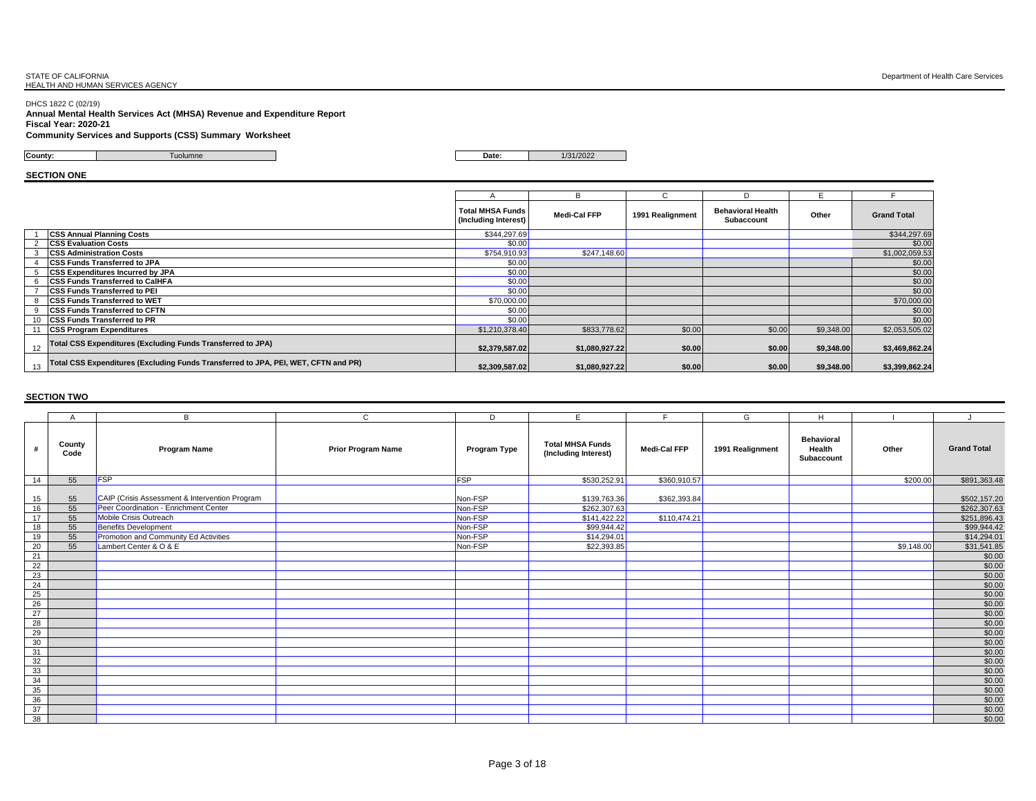DHCS 1822 C (02/19) **Annual Mental Health Services Act (MHSA) Revenue and Expenditure Report Fiscal Year: 2020-21**

#### **Community Services and Supports (CSS) Summary Worksheet**

**County:** Tuolumne **Date:** 1/31/2022

**SECTION ONE**

|    |                                                                                    |                                                 | R              |                  | D                                             |            |                    |
|----|------------------------------------------------------------------------------------|-------------------------------------------------|----------------|------------------|-----------------------------------------------|------------|--------------------|
|    |                                                                                    | <b>Total MHSA Funds</b><br>(Including Interest) | Medi-Cal FFP   | 1991 Realignment | <b>Behavioral Health</b><br><b>Subaccount</b> | Other      | <b>Grand Total</b> |
|    | <b>CSS Annual Planning Costs</b>                                                   | \$344,297.69                                    |                |                  |                                               |            | \$344,297.69       |
|    | <b>CSS Evaluation Costs</b>                                                        | \$0.00                                          |                |                  |                                               |            | \$0.00             |
|    | <b>CSS Administration Costs</b>                                                    | \$754,910.93                                    | \$247,148.60   |                  |                                               |            | \$1,002,059.53     |
|    | <b>ICSS Funds Transferred to JPA</b>                                               | \$0.00                                          |                |                  |                                               |            | \$0.00             |
| 5. | <b>CSS Expenditures Incurred by JPA</b>                                            | \$0.00                                          |                |                  |                                               |            | \$0.00             |
|    | 6 CSS Funds Transferred to CalHFA                                                  | \$0.00                                          |                |                  |                                               |            | \$0.00             |
|    | <b>CSS Funds Transferred to PEI</b>                                                | \$0.00                                          |                |                  |                                               |            | \$0.00             |
|    | 8 CSS Funds Transferred to WET                                                     | \$70,000.00                                     |                |                  |                                               |            | \$70,000.00        |
|    | 9 CSS Funds Transferred to CFTN                                                    | \$0.00                                          |                |                  |                                               |            | \$0.00             |
|    | 10 CSS Funds Transferred to PR                                                     | \$0.00                                          |                |                  |                                               |            | \$0.00             |
|    | 11 CSS Program Expenditures                                                        | \$1,210,378.40                                  | \$833,778.62   | \$0.00           | \$0.00                                        | \$9,348.00 | \$2,053,505.02     |
| 12 | Total CSS Expenditures (Excluding Funds Transferred to JPA)                        | \$2,379,587.02                                  | \$1,080,927.22 | \$0.00           | \$0.00                                        | \$9,348.00 | \$3,469,862.24     |
| 13 | Total CSS Expenditures (Excluding Funds Transferred to JPA, PEI, WET, CFTN and PR) | \$2.309.587.02                                  | \$1,080,927.22 | \$0.00           | \$0.00                                        | \$9.348.00 | \$3,399,862.24     |

|                 | A              | B                                              | $\mathsf{C}$              | D            | E.                                              |              | G                | H                                         |            |                    |
|-----------------|----------------|------------------------------------------------|---------------------------|--------------|-------------------------------------------------|--------------|------------------|-------------------------------------------|------------|--------------------|
|                 | County<br>Code | <b>Program Name</b>                            | <b>Prior Program Name</b> | Program Type | <b>Total MHSA Funds</b><br>(Including Interest) | Medi-Cal FFP | 1991 Realignment | <b>Behavioral</b><br>Health<br>Subaccount | Other      | <b>Grand Total</b> |
| 14              | 55             | <b>FSP</b>                                     |                           | FSP          | \$530,252.91                                    | \$360,910.57 |                  |                                           | \$200.00   | \$891,363.48       |
| 15              | 55             | CAIP (Crisis Assessment & Intervention Program |                           | Non-FSP      | \$139,763.36                                    | \$362,393.84 |                  |                                           |            | \$502,157.20       |
| 16              | 55             | Peer Coordination - Enrichment Center          |                           | Non-FSP      | \$262,307.63                                    |              |                  |                                           |            | \$262,307.63       |
| 17              | 55             | Mobile Crisis Outreach                         |                           | Non-FSP      | \$141,422.22                                    | \$110,474.21 |                  |                                           |            | \$251,896.43       |
| 18              | 55             | Benefits Development                           |                           | Non-FSP      | \$99,944.42                                     |              |                  |                                           |            | \$99,944.42        |
| 19              | 55             | Promotion and Community Ed Activities          |                           | Non-FSP      | \$14,294.01                                     |              |                  |                                           |            | \$14,294.01        |
| 20              | 55             | Lambert Center & O & E                         |                           | Non-FSP      | \$22,393.85                                     |              |                  |                                           | \$9,148.00 | \$31,541.85        |
| 21              |                |                                                |                           |              |                                                 |              |                  |                                           |            | \$0.00             |
| 22              |                |                                                |                           |              |                                                 |              |                  |                                           |            | \$0.00             |
| 23              |                |                                                |                           |              |                                                 |              |                  |                                           |            | \$0.00             |
| 24              |                |                                                |                           |              |                                                 |              |                  |                                           |            | \$0.00             |
| 25              |                |                                                |                           |              |                                                 |              |                  |                                           |            | $$0.00$<br>$$0.00$ |
| 26              |                |                                                |                           |              |                                                 |              |                  |                                           |            |                    |
| 27              |                |                                                |                           |              |                                                 |              |                  |                                           |            | \$0.00             |
| 28              |                |                                                |                           |              |                                                 |              |                  |                                           |            | \$0.00             |
| 29              |                |                                                |                           |              |                                                 |              |                  |                                           |            | \$0.00             |
| 30              |                |                                                |                           |              |                                                 |              |                  |                                           |            | \$0.00             |
| 31              |                |                                                |                           |              |                                                 |              |                  |                                           |            | \$0.00             |
| 32              |                |                                                |                           |              |                                                 |              |                  |                                           |            | \$0.00             |
| 33              |                |                                                |                           |              |                                                 |              |                  |                                           |            | \$0.00             |
| 34              |                |                                                |                           |              |                                                 |              |                  |                                           |            | \$0.00             |
| 35              |                |                                                |                           |              |                                                 |              |                  |                                           |            | \$0.00             |
| $\frac{36}{37}$ |                |                                                |                           |              |                                                 |              |                  |                                           |            | $$0.00$<br>$$0.00$ |
|                 |                |                                                |                           |              |                                                 |              |                  |                                           |            |                    |
| 38              |                |                                                |                           |              |                                                 |              |                  |                                           |            | \$0.00             |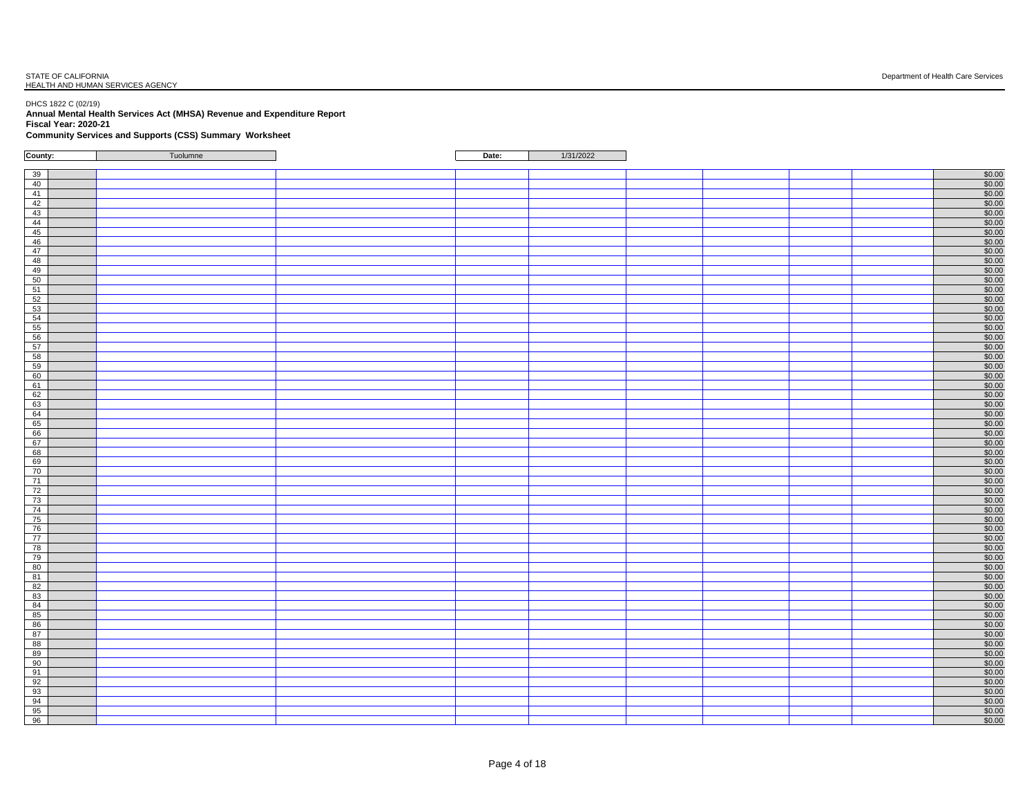#### DHCS 1822 C (02/19) **Annual Mental Health Services Act (MHSA) Revenue and Expenditure Report Fiscal Year: 2020-21**

**Community Services and Supports (CSS) Summary Worksheet**

| County:                                                                                                         | Tuolumne | Date: | 1/31/2022 |  |                                                                                      |
|-----------------------------------------------------------------------------------------------------------------|----------|-------|-----------|--|--------------------------------------------------------------------------------------|
|                                                                                                                 |          |       |           |  |                                                                                      |
| 39                                                                                                              |          |       |           |  | \$0.00                                                                               |
| ക് പുഷ്യ കഴി കഴി മിന്റെ മിന്റെ മിന്റെ മാരി മിന്റെ മാരി മിന്റെ മാരി മിന്റെ മാരി മിന്റെ മാരി മിന്റെ മാരി മിന്റെ മ |          |       |           |  | \$0.00                                                                               |
|                                                                                                                 |          |       |           |  |                                                                                      |
|                                                                                                                 |          |       |           |  | $\frac{$0.00}{$0.00}$                                                                |
|                                                                                                                 |          |       |           |  | \$0.00                                                                               |
|                                                                                                                 |          |       |           |  |                                                                                      |
|                                                                                                                 |          |       |           |  | $$0.00$<br>$$0.00$                                                                   |
|                                                                                                                 |          |       |           |  | \$0.00                                                                               |
|                                                                                                                 |          |       |           |  | $\frac{$0.00}{$0.00}$                                                                |
|                                                                                                                 |          |       |           |  |                                                                                      |
|                                                                                                                 |          |       |           |  | $$0.00$<br>$$0.00$                                                                   |
|                                                                                                                 |          |       |           |  |                                                                                      |
|                                                                                                                 |          |       |           |  | $$0.00$<br>$$0.00$                                                                   |
|                                                                                                                 |          |       |           |  |                                                                                      |
|                                                                                                                 |          |       |           |  | \$0.00                                                                               |
|                                                                                                                 |          |       |           |  | \$0.00                                                                               |
|                                                                                                                 |          |       |           |  | \$0.00                                                                               |
|                                                                                                                 |          |       |           |  | \$0.00                                                                               |
|                                                                                                                 |          |       |           |  | \$0.00<br>\$0.00                                                                     |
|                                                                                                                 |          |       |           |  |                                                                                      |
|                                                                                                                 |          |       |           |  | \$0.00<br>\$0.00                                                                     |
|                                                                                                                 |          |       |           |  | \$0.00                                                                               |
|                                                                                                                 |          |       |           |  |                                                                                      |
|                                                                                                                 |          |       |           |  | $\frac{$0.00}{$0.00}$                                                                |
|                                                                                                                 |          |       |           |  |                                                                                      |
|                                                                                                                 |          |       |           |  |                                                                                      |
|                                                                                                                 |          |       |           |  | $\frac{$0.00}{$0.00}$ $\frac{$0.00}{$0.00}$ $\frac{$0.00}{$0.00}$                    |
|                                                                                                                 |          |       |           |  |                                                                                      |
|                                                                                                                 |          |       |           |  |                                                                                      |
| 70                                                                                                              |          |       |           |  | \$0.00                                                                               |
|                                                                                                                 |          |       |           |  | $$0.00$<br>$$0.00$                                                                   |
| $\begin{array}{r} 71 \\ 72 \\ 73 \\ 74 \\ 75 \\ 76 \\ 77 \\ 78 \\ 79 \end{array}$                               |          |       |           |  |                                                                                      |
|                                                                                                                 |          |       |           |  | $$0.00$<br>$$0.00$                                                                   |
|                                                                                                                 |          |       |           |  |                                                                                      |
|                                                                                                                 |          |       |           |  | \$0.00<br>\$0.00                                                                     |
|                                                                                                                 |          |       |           |  | \$0.00                                                                               |
|                                                                                                                 |          |       |           |  | \$0.00                                                                               |
|                                                                                                                 |          |       |           |  | \$0.00                                                                               |
|                                                                                                                 |          |       |           |  | \$0.00                                                                               |
| 80<br>81<br>82<br>83<br>84<br>85<br>86<br>87<br>88                                                              |          |       |           |  | \$0.00                                                                               |
|                                                                                                                 |          |       |           |  | \$0.00                                                                               |
|                                                                                                                 |          |       |           |  | $\begin{array}{r} $0.00 \ $0.00 \ $0.00 \ $0.00 \ $0.00 \ $0.00 \ $0.00 \end{array}$ |
|                                                                                                                 |          |       |           |  |                                                                                      |
|                                                                                                                 |          |       |           |  |                                                                                      |
|                                                                                                                 |          |       |           |  |                                                                                      |
|                                                                                                                 |          |       |           |  | \$0.00                                                                               |
|                                                                                                                 |          |       |           |  | \$0.00                                                                               |
| $\begin{array}{r} 89 \\ 89 \\ \hline 90 \\ \hline 91 \end{array}$                                               |          |       |           |  | $$0.00$<br>$$0.00$                                                                   |
|                                                                                                                 |          |       |           |  |                                                                                      |
|                                                                                                                 |          |       |           |  | \$0.00                                                                               |
|                                                                                                                 |          |       |           |  | $$0.00$<br>$$0.00$                                                                   |
| $\frac{92}{93}$<br>$\frac{93}{95}$<br>$\frac{94}{95}$                                                           |          |       |           |  |                                                                                      |
|                                                                                                                 |          |       |           |  | $$0.00$<br>$$0.00$                                                                   |
| Ī                                                                                                               |          |       |           |  | \$0.00                                                                               |
|                                                                                                                 |          |       |           |  |                                                                                      |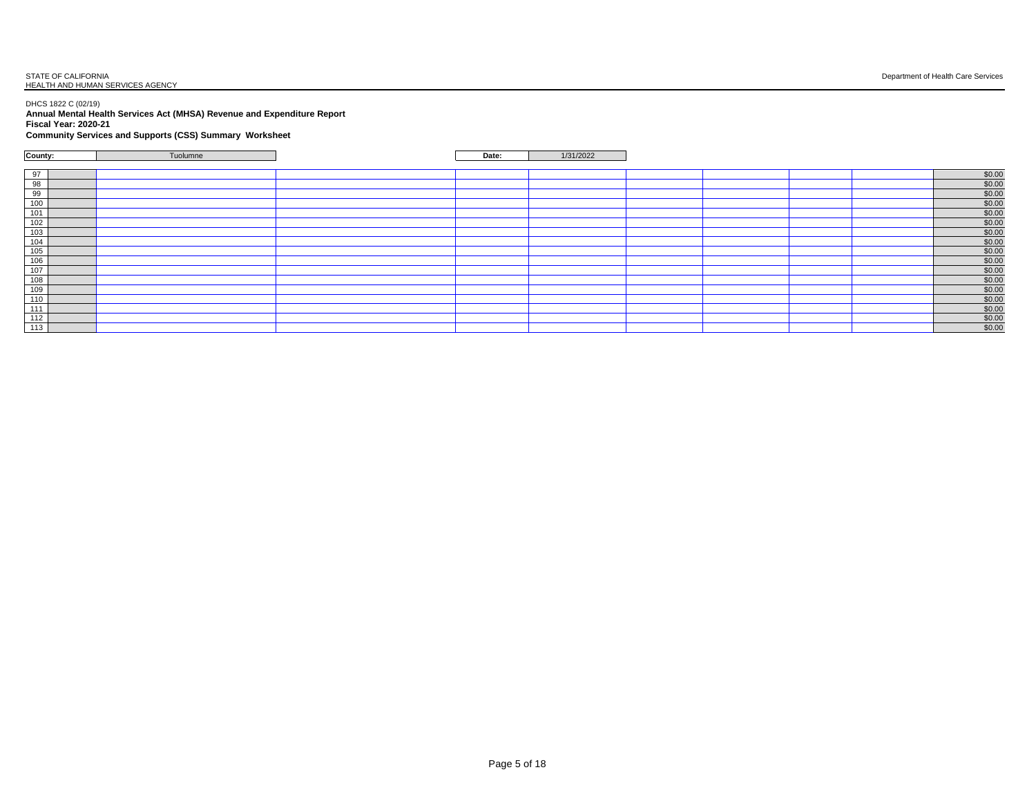## STATE OF CALIFORNIA<br>HEALTH AND HUMAN SERVICES AGENCY

#### DHCS 1822 C (02/19) **Annual Mental Health Services Act (MHSA) Revenue and Expenditure Report Fiscal Year: 2020-21**

#### **Community Services and Supports (CSS) Summary Worksheet**

| County:                                                                                                                      | Tuolumne | Date: | 1/31/2022 |  |                    |
|------------------------------------------------------------------------------------------------------------------------------|----------|-------|-----------|--|--------------------|
|                                                                                                                              |          |       |           |  |                    |
| $\frac{97}{98}$                                                                                                              |          |       |           |  | \$0.00             |
|                                                                                                                              |          |       |           |  | \$0.00             |
|                                                                                                                              |          |       |           |  |                    |
|                                                                                                                              |          |       |           |  | $$0.00$<br>$$0.00$ |
| $\frac{99}{100}$                                                                                                             |          |       |           |  | \$0.00             |
|                                                                                                                              |          |       |           |  | \$0.00             |
|                                                                                                                              |          |       |           |  | \$0.00             |
|                                                                                                                              |          |       |           |  | \$0.00             |
|                                                                                                                              |          |       |           |  | \$0.00             |
| $\frac{1}{100}$ $\frac{1}{100}$ $\frac{1}{100}$ $\frac{1}{100}$                                                              |          |       |           |  | \$0.00             |
|                                                                                                                              |          |       |           |  | \$0.00             |
|                                                                                                                              |          |       |           |  | \$0.00             |
|                                                                                                                              |          |       |           |  | \$0.00             |
|                                                                                                                              |          |       |           |  | \$0.00             |
|                                                                                                                              |          |       |           |  | \$0.00             |
|                                                                                                                              |          |       |           |  | \$0.00             |
| $\begin{array}{r} \n 108 \\  \hline\n 109 \\  \hline\n 110 \\  \hline\n 111 \\  \hline\n 112 \\  \hline\n 113\n \end{array}$ |          |       |           |  | \$0.00             |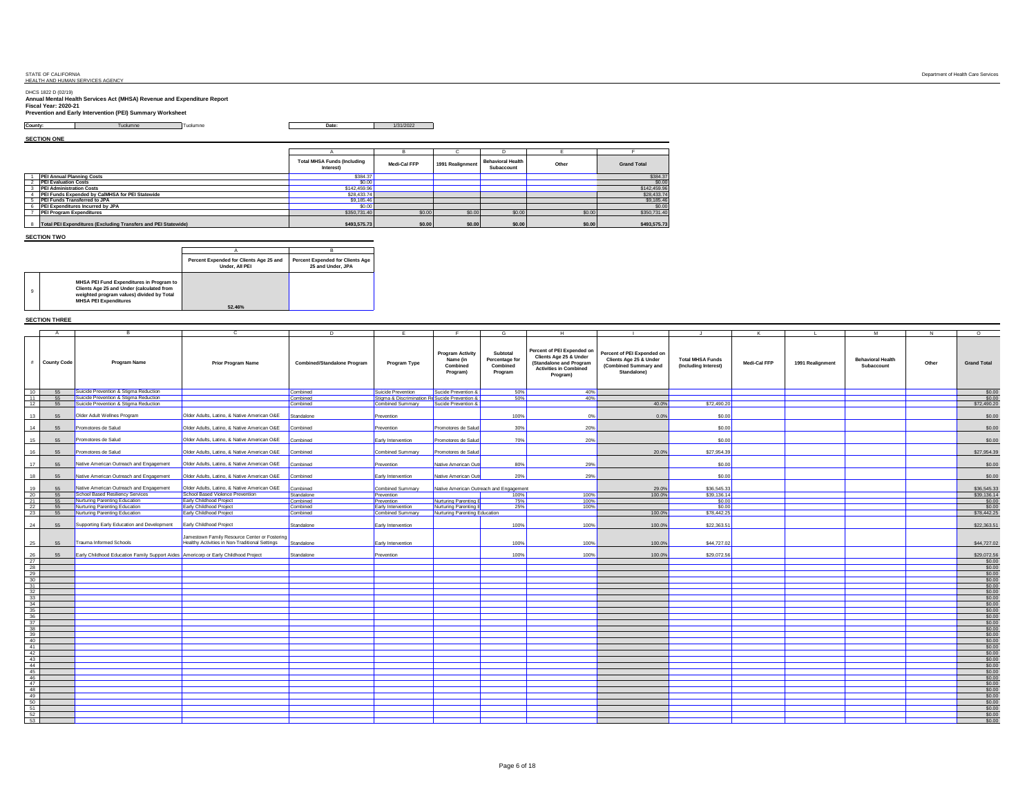DHCS 1822 D (02/19) **Annual Mental Health Services Act (MHSA) Revenue and Expenditure Report Fiscal Year: 2020-21 Prevention and Early Intervention (PEI) Summary Worksheet**

**County:** Tuolumne Tuolumne **Date:** 1/31/2022

**SECTION ONE**

| <b>JEVINION UNE</b>                                              |                                                 |              |                  |                                        |        |                    |
|------------------------------------------------------------------|-------------------------------------------------|--------------|------------------|----------------------------------------|--------|--------------------|
|                                                                  |                                                 |              |                  |                                        |        |                    |
|                                                                  | <b>Total MHSA Funds (Including</b><br>Interest) | Medi-Cal FFP | 1991 Realignment | <b>Behavioral Health</b><br>Subaccount | Other  | <b>Grand Total</b> |
| PEI Annual Planning Costs                                        | \$384.37                                        |              |                  |                                        |        | \$384.37           |
| 2 PEI Evaluation Costs                                           | \$0.00                                          |              |                  |                                        |        | \$0.00             |
| <b>PEI Administration Costs</b>                                  | \$142,459.96                                    |              |                  |                                        |        | \$142,459.96       |
| PEI Funds Expended by CalMHSA for PEI Statewide                  | \$28,433.74                                     |              |                  |                                        |        | \$28,433.74        |
| PEI Funds Transferred to JPA                                     | \$9,185.46                                      |              |                  |                                        |        | \$9,185.46         |
| 6 PEI Expenditures Incurred by JPA                               | \$0.00                                          |              |                  |                                        |        | \$0.00             |
| PEI Program Expenditures                                         | \$350,731.40                                    | \$0.00       | \$0.00           | \$0.00                                 | \$0.00 | \$350,731.40       |
| 8 Total PEI Expenditures (Excluding Transfers and PEI Statewide) | \$493,575,73                                    | \$0.00       | \$0.00           | \$0.00                                 | \$0.00 | \$493,575.73       |

**SECTION TWO**

9

|                                                                                                                                                                    | Percent Expended for Clients Age 25 and<br>Under, All PEI | <b>Percent Expended for Clients Age</b><br>25 and Under, JPA |
|--------------------------------------------------------------------------------------------------------------------------------------------------------------------|-----------------------------------------------------------|--------------------------------------------------------------|
| MHSA PEI Fund Expenditures in Program to<br>Clients Age 25 and Under (calculated from<br>weighted program values) divided by Total<br><b>MHSA PEI Expenditures</b> |                                                           |                                                              |
|                                                                                                                                                                    | 52.46%                                                    |                                                              |

#### **SECTION THREE**

|                                                                                                                                                                                         |                    |                                                                                     |                                                                                                 |                                    |                                                |                                                             |                                                   |                                                                                                                              |                                                                                              |                                                 |              |                  | M                                      | N     | $\circ$               |
|-----------------------------------------------------------------------------------------------------------------------------------------------------------------------------------------|--------------------|-------------------------------------------------------------------------------------|-------------------------------------------------------------------------------------------------|------------------------------------|------------------------------------------------|-------------------------------------------------------------|---------------------------------------------------|------------------------------------------------------------------------------------------------------------------------------|----------------------------------------------------------------------------------------------|-------------------------------------------------|--------------|------------------|----------------------------------------|-------|-----------------------|
| #                                                                                                                                                                                       | <b>County Code</b> | <b>Program Name</b>                                                                 | <b>Prior Program Name</b>                                                                       | <b>Combined/Standalone Program</b> | Program Type                                   | <b>Program Activity</b><br>Name (in<br>Combined<br>Program) | Subtotal<br>Percentage for<br>Combined<br>Program | Percent of PEI Expended on<br>Clients Age 25 & Under<br>(Standalone and Program<br><b>Activities in Combined</b><br>Program) | Percent of PEI Expended on<br>Clients Age 25 & Under<br>(Combined Summary and<br>Standalone) | <b>Total MHSA Funds</b><br>(Including Interest) | Medi-Cal FFP | 1991 Realignment | <b>Behavioral Health</b><br>Subaccount | Other | <b>Grand Total</b>    |
| 10                                                                                                                                                                                      | 55                 | Suicide Prevention & Stigma Reduction                                               |                                                                                                 | Combined                           | Suicide Prevention                             | Sucide Prevention &                                         | 50%                                               | 40%                                                                                                                          |                                                                                              |                                                 |              |                  |                                        |       | $$0.00$<br>$$0.00$    |
| 11                                                                                                                                                                                      | 55                 | Suicide Prevention & Stigma Reduction                                               |                                                                                                 | Combined                           | Stigma & Discrimination Re Sucide Prevention & |                                                             | 50%                                               | 40%                                                                                                                          |                                                                                              |                                                 |              |                  |                                        |       |                       |
| 12                                                                                                                                                                                      | 55                 | Suicide Prevention & Stigma Reduction                                               |                                                                                                 | Combined                           | Combined Summary                               | Sucide Prevention &                                         |                                                   |                                                                                                                              | 40.0%                                                                                        | \$72,490.20                                     |              |                  |                                        |       | \$72,490.20           |
| 13                                                                                                                                                                                      | 55                 | Older Adult Wellnes Program                                                         | Older Adults, Latino, & Native American O&E                                                     | Standalone                         | Prevention                                     |                                                             | 100%                                              | 0%                                                                                                                           | 0.0%                                                                                         | \$0.00                                          |              |                  |                                        |       | \$0.00                |
| 14                                                                                                                                                                                      | 55                 | Promotores de Salud                                                                 | Older Adults, Latino, & Native American O&E                                                     | Combined                           | Prevention                                     | Promotores de Salud                                         | 30%                                               | 20%                                                                                                                          |                                                                                              | \$0.00                                          |              |                  |                                        |       | \$0.00                |
| 15                                                                                                                                                                                      | 55                 | Promotores de Salud                                                                 | Older Adults, Latino, & Native American O&E                                                     | Combined                           | Early Intervention                             | Promotores de Salud                                         | 70%                                               | 20%                                                                                                                          |                                                                                              | \$0.00                                          |              |                  |                                        |       | \$0.00                |
| 16                                                                                                                                                                                      | 55                 | Promotores de Salud                                                                 | Older Adults, Latino, & Native American O&E                                                     | Combined                           | Combined Summary                               | Promotores de Salud                                         |                                                   |                                                                                                                              | 20.0%                                                                                        | \$27,954.39                                     |              |                  |                                        |       | \$27,954.39           |
| 17                                                                                                                                                                                      | 55                 | Native American Outreach and Engagement                                             | Older Adults, Latino, & Native American O&E                                                     | Combined                           | Prevention                                     | Native American Outr                                        | 80%                                               | 29%                                                                                                                          |                                                                                              | \$0.00                                          |              |                  |                                        |       | \$0.00                |
| 18                                                                                                                                                                                      | 55                 | Native American Outreach and Engagement                                             | Older Adults, Latino, & Native American O&E                                                     | Combined                           | Early Intervention                             | Native American Ou                                          | 20%                                               | 29%                                                                                                                          |                                                                                              | \$0.00                                          |              |                  |                                        |       | \$0.00                |
| 19                                                                                                                                                                                      | 55                 | Native American Outreach and Engagement                                             | Older Adults, Latino, & Native American O&E                                                     | Combined                           | Combined Summary                               |                                                             | Native American Outreach and Engagement           |                                                                                                                              | 29.0%                                                                                        | \$36,545.33                                     |              |                  |                                        |       | \$36,545.33           |
| 20                                                                                                                                                                                      | 55                 | School Based Resiliency Services                                                    | School Based Violence Prevention                                                                | Standalone                         | Prevention                                     |                                                             | 100%                                              | 100%                                                                                                                         | 100.0%                                                                                       | \$39,136.14                                     |              |                  |                                        |       | \$39,136.14           |
| 21                                                                                                                                                                                      | 55                 | Nurturing Parenting Education                                                       | Early Childhood Project                                                                         | Combined                           | Prevention                                     | Nurturing Parenting E                                       | 75%                                               | 100%                                                                                                                         |                                                                                              | \$0.00                                          |              |                  |                                        |       | \$0.00                |
| $\frac{22}{23}$                                                                                                                                                                         | 55                 | Nurturing Parenting Education                                                       | Early Childhood Project                                                                         | Combined                           | Early Intervention                             | Nurturing Parenting E                                       | 25%                                               | 100%                                                                                                                         |                                                                                              | \$0.00                                          |              |                  |                                        |       | \$0.00                |
|                                                                                                                                                                                         | 55                 | Nurturing Parenting Education                                                       | Early Childhood Project                                                                         | Combined                           | Combined Summary                               | Nurturing Parenting Education                               |                                                   |                                                                                                                              | 100.0%                                                                                       | \$78,442.25                                     |              |                  |                                        |       | \$78,442.25           |
| 24                                                                                                                                                                                      | 55                 | Supporting Early Education and Development                                          | Early Childhood Project                                                                         | Standalone                         | Early Intervention                             |                                                             | 100%                                              | 100%                                                                                                                         | 100.0%                                                                                       | \$22,363.51                                     |              |                  |                                        |       | \$22,363.51           |
| 25                                                                                                                                                                                      | 55                 | Trauma Informed Schools                                                             | Jamestown Family Resource Center or Fostering<br>Healthy Activities in Non-Traditional Settings | Standalone                         | Early Intervention                             |                                                             | 100%                                              | 100%                                                                                                                         | 100.0%                                                                                       | \$44,727.02                                     |              |                  |                                        |       | \$44,727.02           |
| 26<br>$^{27}$                                                                                                                                                                           | 55                 | Early Childhood Education Family Support Aides Americorp or Early Childhood Project |                                                                                                 | Standalone                         | Prevention                                     |                                                             | 100%                                              | 100%                                                                                                                         | 100.0%                                                                                       | \$29,072.56                                     |              |                  |                                        |       | \$29,072.56<br>\$0.00 |
|                                                                                                                                                                                         |                    |                                                                                     |                                                                                                 |                                    |                                                |                                                             |                                                   |                                                                                                                              |                                                                                              |                                                 |              |                  |                                        |       | \$0.00                |
| $rac{28}{29}$                                                                                                                                                                           |                    |                                                                                     |                                                                                                 |                                    |                                                |                                                             |                                                   |                                                                                                                              |                                                                                              |                                                 |              |                  |                                        |       | \$0.00                |
| 30                                                                                                                                                                                      |                    |                                                                                     |                                                                                                 |                                    |                                                |                                                             |                                                   |                                                                                                                              |                                                                                              |                                                 |              |                  |                                        |       | \$0.00                |
|                                                                                                                                                                                         |                    |                                                                                     |                                                                                                 |                                    |                                                |                                                             |                                                   |                                                                                                                              |                                                                                              |                                                 |              |                  |                                        |       | \$0.00                |
|                                                                                                                                                                                         |                    |                                                                                     |                                                                                                 |                                    |                                                |                                                             |                                                   |                                                                                                                              |                                                                                              |                                                 |              |                  |                                        |       | \$0.00                |
| $\begin{array}{r} 31 \\ 32 \\ \hline 33 \end{array}$                                                                                                                                    |                    |                                                                                     |                                                                                                 |                                    |                                                |                                                             |                                                   |                                                                                                                              |                                                                                              |                                                 |              |                  |                                        |       | \$0.00                |
|                                                                                                                                                                                         |                    |                                                                                     |                                                                                                 |                                    |                                                |                                                             |                                                   |                                                                                                                              |                                                                                              |                                                 |              |                  |                                        |       |                       |
| $\begin{array}{r} \n \begin{array}{r}\n 34 \\  \hline\n 35 \\  \hline\n 36 \\  \hline\n 37 \\  \hline\n 38 \\  \hline\n 39 \\  \hline\n 40 \\  \hline\n 41\n \end{array}\n \end{array}$ |                    |                                                                                     |                                                                                                 |                                    |                                                |                                                             |                                                   |                                                                                                                              |                                                                                              |                                                 |              |                  |                                        |       | \$0.00<br>\$0.00      |
|                                                                                                                                                                                         |                    |                                                                                     |                                                                                                 |                                    |                                                |                                                             |                                                   |                                                                                                                              |                                                                                              |                                                 |              |                  |                                        |       |                       |
|                                                                                                                                                                                         |                    |                                                                                     |                                                                                                 |                                    |                                                |                                                             |                                                   |                                                                                                                              |                                                                                              |                                                 |              |                  |                                        |       | \$0.00<br>\$0.00      |
|                                                                                                                                                                                         |                    |                                                                                     |                                                                                                 |                                    |                                                |                                                             |                                                   |                                                                                                                              |                                                                                              |                                                 |              |                  |                                        |       | \$0.00                |
|                                                                                                                                                                                         |                    |                                                                                     |                                                                                                 |                                    |                                                |                                                             |                                                   |                                                                                                                              |                                                                                              |                                                 |              |                  |                                        |       | \$0.00                |
|                                                                                                                                                                                         |                    |                                                                                     |                                                                                                 |                                    |                                                |                                                             |                                                   |                                                                                                                              |                                                                                              |                                                 |              |                  |                                        |       | \$0.00                |
|                                                                                                                                                                                         |                    |                                                                                     |                                                                                                 |                                    |                                                |                                                             |                                                   |                                                                                                                              |                                                                                              |                                                 |              |                  |                                        |       | \$0.00                |
|                                                                                                                                                                                         |                    |                                                                                     |                                                                                                 |                                    |                                                |                                                             |                                                   |                                                                                                                              |                                                                                              |                                                 |              |                  |                                        |       | \$0.00                |
| $\frac{42}{43}$                                                                                                                                                                         |                    |                                                                                     |                                                                                                 |                                    |                                                |                                                             |                                                   |                                                                                                                              |                                                                                              |                                                 |              |                  |                                        |       | \$0.00                |
|                                                                                                                                                                                         |                    |                                                                                     |                                                                                                 |                                    |                                                |                                                             |                                                   |                                                                                                                              |                                                                                              |                                                 |              |                  |                                        |       | \$0.00                |
| $\begin{array}{r} \hline 44 \\ 45 \\ 46 \\ 47 \end{array}$                                                                                                                              |                    |                                                                                     |                                                                                                 |                                    |                                                |                                                             |                                                   |                                                                                                                              |                                                                                              |                                                 |              |                  |                                        |       | \$0.00                |
|                                                                                                                                                                                         |                    |                                                                                     |                                                                                                 |                                    |                                                |                                                             |                                                   |                                                                                                                              |                                                                                              |                                                 |              |                  |                                        |       | \$0.00                |
|                                                                                                                                                                                         |                    |                                                                                     |                                                                                                 |                                    |                                                |                                                             |                                                   |                                                                                                                              |                                                                                              |                                                 |              |                  |                                        |       | \$0.00                |
| - 48                                                                                                                                                                                    |                    |                                                                                     |                                                                                                 |                                    |                                                |                                                             |                                                   |                                                                                                                              |                                                                                              |                                                 |              |                  |                                        |       | \$0.00                |
| 49                                                                                                                                                                                      |                    |                                                                                     |                                                                                                 |                                    |                                                |                                                             |                                                   |                                                                                                                              |                                                                                              |                                                 |              |                  |                                        |       | \$0.00                |
| - 50                                                                                                                                                                                    |                    |                                                                                     |                                                                                                 |                                    |                                                |                                                             |                                                   |                                                                                                                              |                                                                                              |                                                 |              |                  |                                        |       | \$0.00                |
| 51                                                                                                                                                                                      |                    |                                                                                     |                                                                                                 |                                    |                                                |                                                             |                                                   |                                                                                                                              |                                                                                              |                                                 |              |                  |                                        |       | \$0.00                |
|                                                                                                                                                                                         |                    |                                                                                     |                                                                                                 |                                    |                                                |                                                             |                                                   |                                                                                                                              |                                                                                              |                                                 |              |                  |                                        |       | \$0.00                |
| $\frac{52}{53}$                                                                                                                                                                         |                    |                                                                                     |                                                                                                 |                                    |                                                |                                                             |                                                   |                                                                                                                              |                                                                                              |                                                 |              |                  |                                        |       |                       |
|                                                                                                                                                                                         |                    |                                                                                     |                                                                                                 |                                    |                                                |                                                             |                                                   |                                                                                                                              |                                                                                              |                                                 |              |                  |                                        |       | \$0.00                |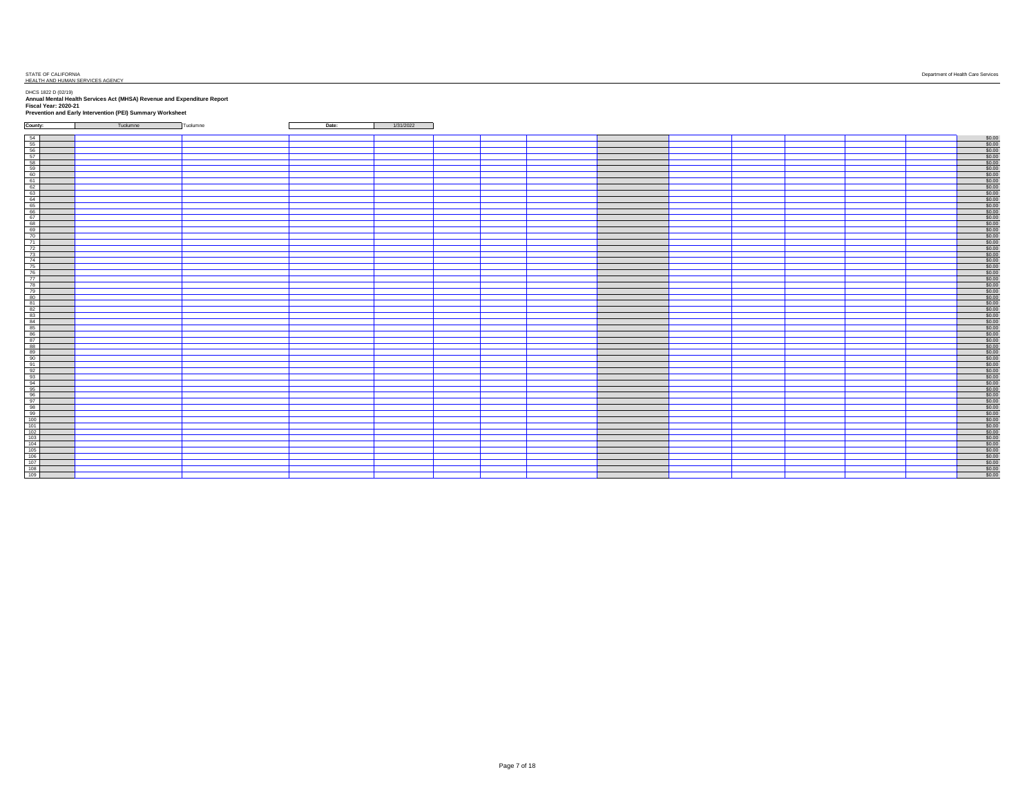#### STATE OF CALIFORNIA Department of Health Care Services STATE OF CALIFORNIA<br>HEALTH AND HUMAN SERVICES AGENCY

**County:** Tuolumne Tuolumne **Date:** 1/31/2022

| <u>t 100 metropological compositor de la compositor de la compositor de la compositor de la compositor de la compositor de la compositor de la compositor de la compositor de la compositor de la compositor de la compositor de</u> |  |  |  |  |
|--------------------------------------------------------------------------------------------------------------------------------------------------------------------------------------------------------------------------------------|--|--|--|--|
|                                                                                                                                                                                                                                      |  |  |  |  |
|                                                                                                                                                                                                                                      |  |  |  |  |
|                                                                                                                                                                                                                                      |  |  |  |  |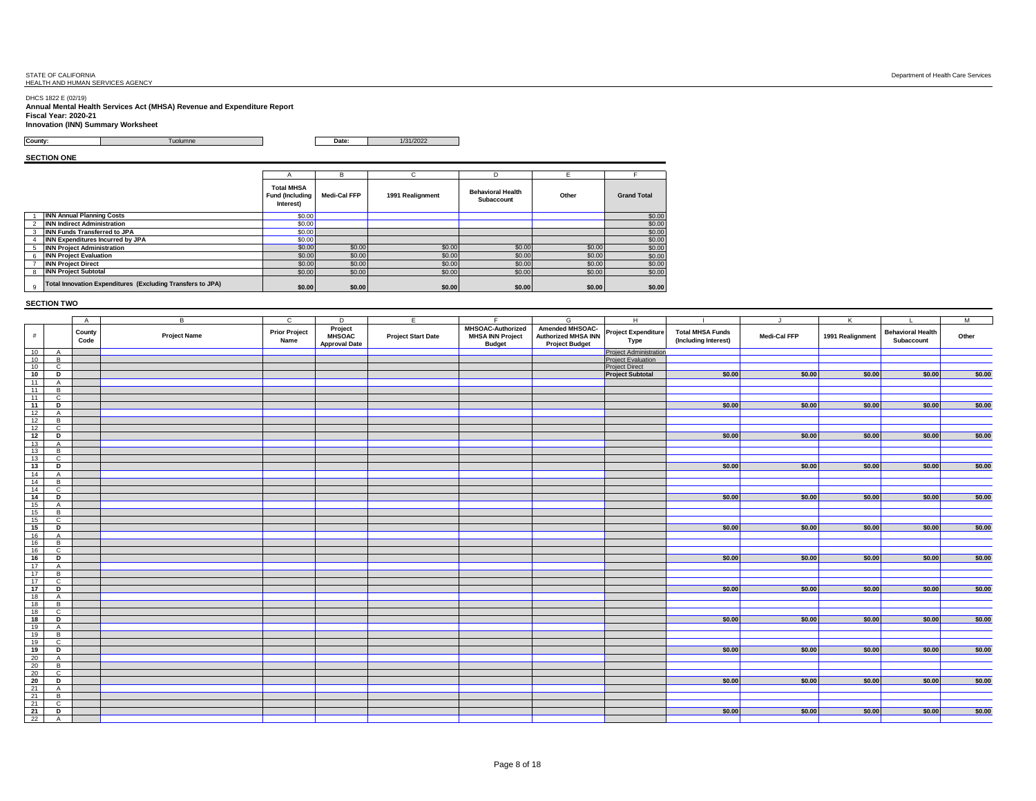## STATE OF CALIFORNIA<br>HEALTH AND HUMAN SERVICES AGENCY

DHCS 1822 E (02/19) **Annual Mental Health Services Act (MHSA) Revenue and Expenditure Report Fiscal Year: 2020-21 Innovation (INN) Summary Worksheet**

#### **County:** Tuolumne **Date:** 1/31/2022

**SECTION ONE**

|   |                                                            |                                                          | в            | C.               | D                                      | F.     |                    |
|---|------------------------------------------------------------|----------------------------------------------------------|--------------|------------------|----------------------------------------|--------|--------------------|
|   |                                                            | <b>Total MHSA</b><br><b>Fund (Including</b><br>Interest) | Medi-Cal FFP | 1991 Realignment | <b>Behavioral Health</b><br>Subaccount | Other  | <b>Grand Total</b> |
|   | <b>INN Annual Planning Costs</b>                           | \$0.00                                                   |              |                  |                                        |        | \$0.00             |
|   | <b>INN Indirect Administration</b>                         | \$0.00                                                   |              |                  |                                        |        | \$0.00             |
| 3 | <b>INN Funds Transferred to JPA</b>                        | \$0.00                                                   |              |                  |                                        |        | \$0.00             |
|   | INN Expenditures Incurred by JPA                           | \$0.00                                                   |              |                  |                                        |        | \$0.00             |
|   | <b>INN Project Administration</b>                          | \$0.00                                                   | \$0.00       | \$0.00           | \$0.00                                 | \$0.00 | \$0.00             |
| 6 | <b>INN Project Evaluation</b>                              | \$0.00                                                   | \$0.00       | \$0.00           | \$0.00                                 | \$0.00 | \$0.00             |
|   | <b>INN Project Direct</b>                                  | \$0.00                                                   | \$0.00       | \$0.00           | \$0.00                                 | \$0.00 | \$0.00             |
| 8 | <b>INN Project Subtotal</b>                                | \$0.00                                                   | \$0.00       | \$0.00           | \$0.00                                 | \$0.00 | \$0.00             |
| 9 | Total Innovation Expenditures (Excluding Transfers to JPA) | \$0.00                                                   | \$0.00       | \$0.00           | \$0.00                                 | \$0.00 | \$0.00             |

|          |                     | $\overline{A}$ | B                   | $\mathbf{c}$                 | D                                                | E                         | Ε                                                                    | G                                                               | H                                  |                                                 | $\mathbf{I}$ | K                |                                        | M      |
|----------|---------------------|----------------|---------------------|------------------------------|--------------------------------------------------|---------------------------|----------------------------------------------------------------------|-----------------------------------------------------------------|------------------------------------|-------------------------------------------------|--------------|------------------|----------------------------------------|--------|
| #        |                     | County<br>Code | <b>Project Name</b> | <b>Prior Project</b><br>Name | Project<br><b>MHSOAC</b><br><b>Approval Date</b> | <b>Project Start Date</b> | <b>MHSOAC-Authorized</b><br><b>MHSA INN Project</b><br><b>Budget</b> | Amended MHSOAC-<br>Authorized MHSA INN<br><b>Project Budget</b> | <b>Project Expenditure</b><br>Type | <b>Total MHSA Funds</b><br>(Including Interest) | Medi-Cal FFP | 1991 Realignment | <b>Behavioral Health</b><br>Subaccount | Other  |
| 10       | A                   |                |                     |                              |                                                  |                           |                                                                      |                                                                 | <b>Project Administration</b>      |                                                 |              |                  |                                        |        |
| 10       | B                   |                |                     |                              |                                                  |                           |                                                                      |                                                                 | <b>Project Evaluation</b>          |                                                 |              |                  |                                        |        |
| 10       | $\mathbf{C}$        |                |                     |                              |                                                  |                           |                                                                      |                                                                 | <b>Project Direct</b>              |                                                 |              |                  |                                        |        |
| 10       | D                   |                |                     |                              |                                                  |                           |                                                                      |                                                                 | <b>Project Subtotal</b>            | \$0.00                                          | \$0.00       | \$0.00           | \$0.00                                 | \$0.00 |
| 11       | $\overline{A}$      |                |                     |                              |                                                  |                           |                                                                      |                                                                 |                                    |                                                 |              |                  |                                        |        |
| 11       | B                   |                |                     |                              |                                                  |                           |                                                                      |                                                                 |                                    |                                                 |              |                  |                                        |        |
| 11       | $\mathbf{C}$        |                |                     |                              |                                                  |                           |                                                                      |                                                                 |                                    |                                                 |              |                  |                                        |        |
| 11       | D                   |                |                     |                              |                                                  |                           |                                                                      |                                                                 |                                    | \$0.00                                          | \$0.00       | \$0.00           | \$0.00                                 | \$0.00 |
| 12       | $\overline{A}$      |                |                     |                              |                                                  |                           |                                                                      |                                                                 |                                    |                                                 |              |                  |                                        |        |
| 12       | B                   |                |                     |                              |                                                  |                           |                                                                      |                                                                 |                                    |                                                 |              |                  |                                        |        |
| 12       | $\mathbf{C}$        |                |                     |                              |                                                  |                           |                                                                      |                                                                 |                                    |                                                 |              |                  |                                        |        |
| 12       | D                   |                |                     |                              |                                                  |                           |                                                                      |                                                                 |                                    | \$0.00                                          | \$0.00       | \$0.00           | \$0.00                                 | \$0.00 |
| 13       | $\overline{A}$      |                |                     |                              |                                                  |                           |                                                                      |                                                                 |                                    |                                                 |              |                  |                                        |        |
| 13       | B                   |                |                     |                              |                                                  |                           |                                                                      |                                                                 |                                    |                                                 |              |                  |                                        |        |
| 13       | $\mathbf{C}$        |                |                     |                              |                                                  |                           |                                                                      |                                                                 |                                    |                                                 |              |                  |                                        |        |
| 13       | D                   |                |                     |                              |                                                  |                           |                                                                      |                                                                 |                                    | \$0.00                                          | \$0.00       | \$0.00           | \$0.00                                 | \$0.00 |
| 14       | $\overline{A}$      |                |                     |                              |                                                  |                           |                                                                      |                                                                 |                                    |                                                 |              |                  |                                        |        |
| 14<br>14 | B<br>$\mathbf{C}$   |                |                     |                              |                                                  |                           |                                                                      |                                                                 |                                    |                                                 |              |                  |                                        |        |
| 14       |                     |                |                     |                              |                                                  |                           |                                                                      |                                                                 |                                    | \$0.00                                          | \$0.00       | \$0.00           | \$0.00                                 | \$0.00 |
|          | D                   |                |                     |                              |                                                  |                           |                                                                      |                                                                 |                                    |                                                 |              |                  |                                        |        |
| 15       | $\overline{A}$<br>B |                |                     |                              |                                                  |                           |                                                                      |                                                                 |                                    |                                                 |              |                  |                                        |        |
| 15<br>15 | C                   |                |                     |                              |                                                  |                           |                                                                      |                                                                 |                                    |                                                 |              |                  |                                        |        |
| 15       | D                   |                |                     |                              |                                                  |                           |                                                                      |                                                                 |                                    | \$0.00                                          | \$0.00       | \$0.00           | \$0.00                                 | \$0.00 |
| 16       |                     |                |                     |                              |                                                  |                           |                                                                      |                                                                 |                                    |                                                 |              |                  |                                        |        |
| 16       | $\overline{A}$<br>B |                |                     |                              |                                                  |                           |                                                                      |                                                                 |                                    |                                                 |              |                  |                                        |        |
| 16       | $\mathbf{C}$        |                |                     |                              |                                                  |                           |                                                                      |                                                                 |                                    |                                                 |              |                  |                                        |        |
| 16       | D                   |                |                     |                              |                                                  |                           |                                                                      |                                                                 |                                    | \$0.00                                          | \$0.00       | \$0.00           | \$0.00                                 | \$0.00 |
| 17       | $\overline{A}$      |                |                     |                              |                                                  |                           |                                                                      |                                                                 |                                    |                                                 |              |                  |                                        |        |
| 17       | B                   |                |                     |                              |                                                  |                           |                                                                      |                                                                 |                                    |                                                 |              |                  |                                        |        |
| 17       | $\mathbf{C}$        |                |                     |                              |                                                  |                           |                                                                      |                                                                 |                                    |                                                 |              |                  |                                        |        |
| 17       | D                   |                |                     |                              |                                                  |                           |                                                                      |                                                                 |                                    | \$0.00                                          | \$0.00       | \$0.00           | \$0.00                                 | \$0.00 |
| 18       | $\overline{A}$      |                |                     |                              |                                                  |                           |                                                                      |                                                                 |                                    |                                                 |              |                  |                                        |        |
| 18       | B                   |                |                     |                              |                                                  |                           |                                                                      |                                                                 |                                    |                                                 |              |                  |                                        |        |
| 18       | C                   |                |                     |                              |                                                  |                           |                                                                      |                                                                 |                                    |                                                 |              |                  |                                        |        |
| 18       | D                   |                |                     |                              |                                                  |                           |                                                                      |                                                                 |                                    | \$0.00                                          | \$0.00       | \$0.00           | \$0.00                                 | \$0.00 |
| 19       | $\overline{A}$      |                |                     |                              |                                                  |                           |                                                                      |                                                                 |                                    |                                                 |              |                  |                                        |        |
| 19       | B                   |                |                     |                              |                                                  |                           |                                                                      |                                                                 |                                    |                                                 |              |                  |                                        |        |
| 19       | C                   |                |                     |                              |                                                  |                           |                                                                      |                                                                 |                                    |                                                 |              |                  |                                        |        |
| 19       | D                   |                |                     |                              |                                                  |                           |                                                                      |                                                                 |                                    | \$0.00                                          | \$0.00       | \$0.00           | \$0.00                                 | \$0.00 |
| 20       | $\overline{A}$      |                |                     |                              |                                                  |                           |                                                                      |                                                                 |                                    |                                                 |              |                  |                                        |        |
| 20       | B                   |                |                     |                              |                                                  |                           |                                                                      |                                                                 |                                    |                                                 |              |                  |                                        |        |
| 20       | $\mathbf{C}$        |                |                     |                              |                                                  |                           |                                                                      |                                                                 |                                    |                                                 |              |                  |                                        |        |
| 20       | D                   |                |                     |                              |                                                  |                           |                                                                      |                                                                 |                                    | \$0.00                                          | \$0.00       | \$0.00           | \$0.00                                 | \$0.00 |
| 21       | $\overline{A}$      |                |                     |                              |                                                  |                           |                                                                      |                                                                 |                                    |                                                 |              |                  |                                        |        |
| 21       | B                   |                |                     |                              |                                                  |                           |                                                                      |                                                                 |                                    |                                                 |              |                  |                                        |        |
| 21       | $\mathbf{C}$        |                |                     |                              |                                                  |                           |                                                                      |                                                                 |                                    |                                                 |              |                  |                                        |        |
| 21       | D                   |                |                     |                              |                                                  |                           |                                                                      |                                                                 |                                    | \$0.00                                          | \$0.00       | \$0.00           | \$0.00                                 | \$0.00 |
| 22       | <b>A</b>            |                |                     |                              |                                                  |                           |                                                                      |                                                                 |                                    |                                                 |              |                  |                                        |        |
|          |                     |                |                     |                              |                                                  |                           |                                                                      |                                                                 |                                    |                                                 |              |                  |                                        |        |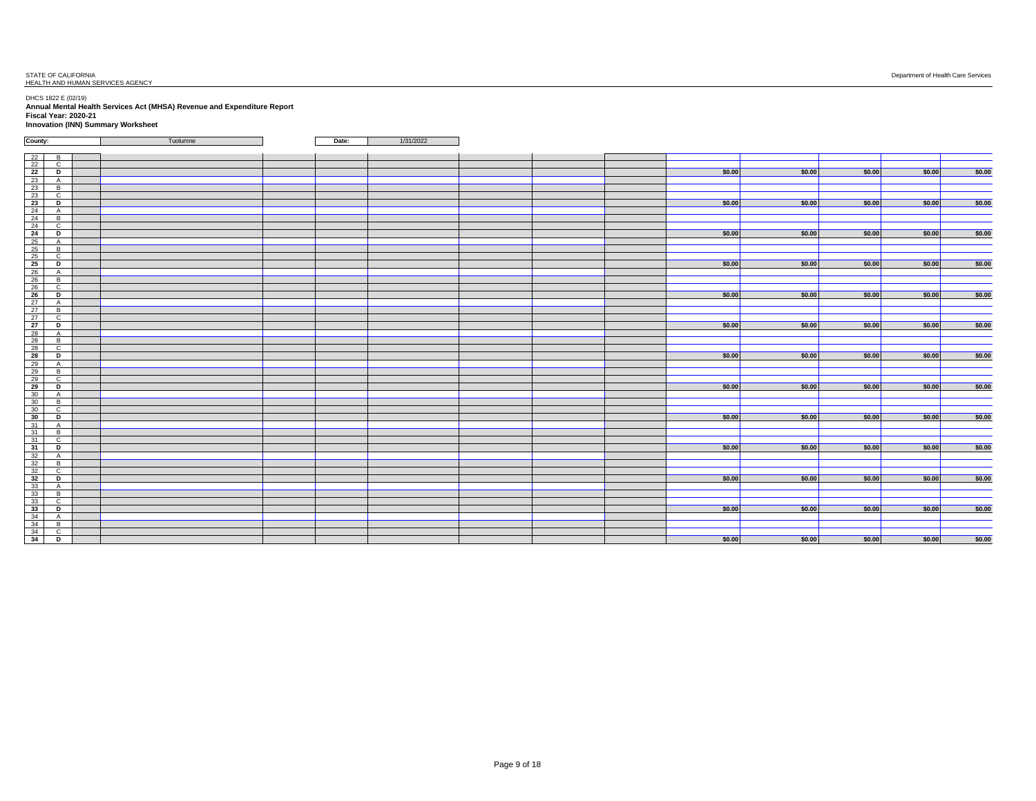| County:                                                   | Tuolumne | Date: | 1/31/2022 |  |        |        |        |        |        |
|-----------------------------------------------------------|----------|-------|-----------|--|--------|--------|--------|--------|--------|
|                                                           |          |       |           |  |        |        |        |        |        |
| 22<br>B<br>22<br>$\mathbf{C}$                             |          |       |           |  |        |        |        |        |        |
| 22<br>Þ                                                   |          |       |           |  | \$0.00 | \$0.00 | \$0.00 | \$0.00 | \$0.00 |
| A                                                         |          |       |           |  |        |        |        |        |        |
| $\begin{array}{r} 23 \\ 23 \\ 23 \end{array}$<br>B        |          |       |           |  |        |        |        |        |        |
| $\mathbf{C}$                                              |          |       |           |  |        |        |        |        |        |
| 23<br>D                                                   |          |       |           |  | \$0.00 | \$0.00 | \$0.00 | \$0.00 | \$0.00 |
| 24<br>A                                                   |          |       |           |  |        |        |        |        |        |
| 24<br>$\overline{B}$                                      |          |       |           |  |        |        |        |        |        |
| 24<br>$\overline{c}$                                      |          |       |           |  |        |        |        |        |        |
| 24<br>D                                                   |          |       |           |  | \$0.00 | \$0.00 | \$0.00 | \$0.00 | \$0.00 |
| 25<br>A                                                   |          |       |           |  |        |        |        |        |        |
| B.                                                        |          |       |           |  |        |        |        |        |        |
| $\begin{array}{c c} 25 \\ 25 \end{array}$<br>$\mathbf{C}$ |          |       |           |  |        |        |        |        |        |
| 25<br>Þ                                                   |          |       |           |  | \$0.00 | \$0.00 | \$0.00 | \$0.00 | \$0.00 |
| 26<br>$\mathsf{A}$                                        |          |       |           |  |        |        |        |        |        |
| 26<br>B                                                   |          |       |           |  |        |        |        |        |        |
| 26<br>$\mathbf{C}$                                        |          |       |           |  |        |        |        |        |        |
| 26<br>D                                                   |          |       |           |  | \$0.00 | \$0.00 | \$0.00 | \$0.00 | \$0.00 |
| 27<br>A                                                   |          |       |           |  |        |        |        |        |        |
| 27<br>B                                                   |          |       |           |  |        |        |        |        |        |
| 27<br>$\mathbf{C}$                                        |          |       |           |  |        |        |        |        |        |
| 27<br>D                                                   |          |       |           |  | \$0.00 | \$0.00 | \$0.00 | \$0.00 | \$0.00 |
| 28<br>A                                                   |          |       |           |  |        |        |        |        |        |
| 28<br>B                                                   |          |       |           |  |        |        |        |        |        |
| 28<br>$\mathbf{C}$                                        |          |       |           |  |        |        |        |        |        |
| 28<br>D                                                   |          |       |           |  | \$0.00 | \$0.00 | \$0.00 | \$0.00 | \$0.00 |
| 29<br>A.                                                  |          |       |           |  |        |        |        |        |        |
| 29<br>B                                                   |          |       |           |  |        |        |        |        |        |
| 29<br>$\overline{c}$                                      |          |       |           |  |        |        |        |        |        |
| 29<br>D                                                   |          |       |           |  | \$0.00 | \$0.00 | \$0.00 | \$0.00 | \$0.00 |
| 30<br>A.                                                  |          |       |           |  |        |        |        |        |        |
| $\begin{array}{c c} 30 \\ 30 \end{array}$<br>B.           |          |       |           |  |        |        |        |        |        |
| $\mathbf{C}$                                              |          |       |           |  |        |        |        |        |        |
| 30<br>D                                                   |          |       |           |  | \$0.00 | \$0.00 | \$0.00 | \$0.00 | \$0.00 |
| 31<br>$\mathsf{A}$                                        |          |       |           |  |        |        |        |        |        |
| 31<br>$\overline{B}$                                      |          |       |           |  |        |        |        |        |        |
| 31<br>$\mathbf{C}$                                        |          |       |           |  |        |        |        |        |        |
| 31<br>D                                                   |          |       |           |  | \$0.00 | \$0.00 | \$0.00 | \$0.00 | \$0.00 |
| 32<br>A                                                   |          |       |           |  |        |        |        |        |        |
| 32<br>B                                                   |          |       |           |  |        |        |        |        |        |
| $\begin{array}{c c} 32 \\ 32 \end{array}$<br>$\mathbf{C}$ |          |       |           |  |        |        |        |        |        |
| D                                                         |          |       |           |  | \$0.00 | \$0.00 | \$0.00 | \$0.00 | \$0.00 |
| 33<br>A                                                   |          |       |           |  |        |        |        |        |        |
| 33<br>B                                                   |          |       |           |  |        |        |        |        |        |
| 33<br>$\mathbf{C}$                                        |          |       |           |  |        |        |        |        |        |
| 33<br>D                                                   |          |       |           |  | \$0.00 | \$0.00 | \$0.00 | \$0.00 | \$0.00 |
| 34<br>A                                                   |          |       |           |  |        |        |        |        |        |
| 34<br>$\overline{a}$                                      |          |       |           |  |        |        |        |        |        |
| $\begin{array}{c} 34 \\ 34 \end{array}$<br>$\overline{c}$ |          |       |           |  |        |        |        |        |        |
| $\mathbf{D}$                                              |          |       |           |  | \$0.00 | \$0.00 | \$0.00 | \$0.00 | \$0.00 |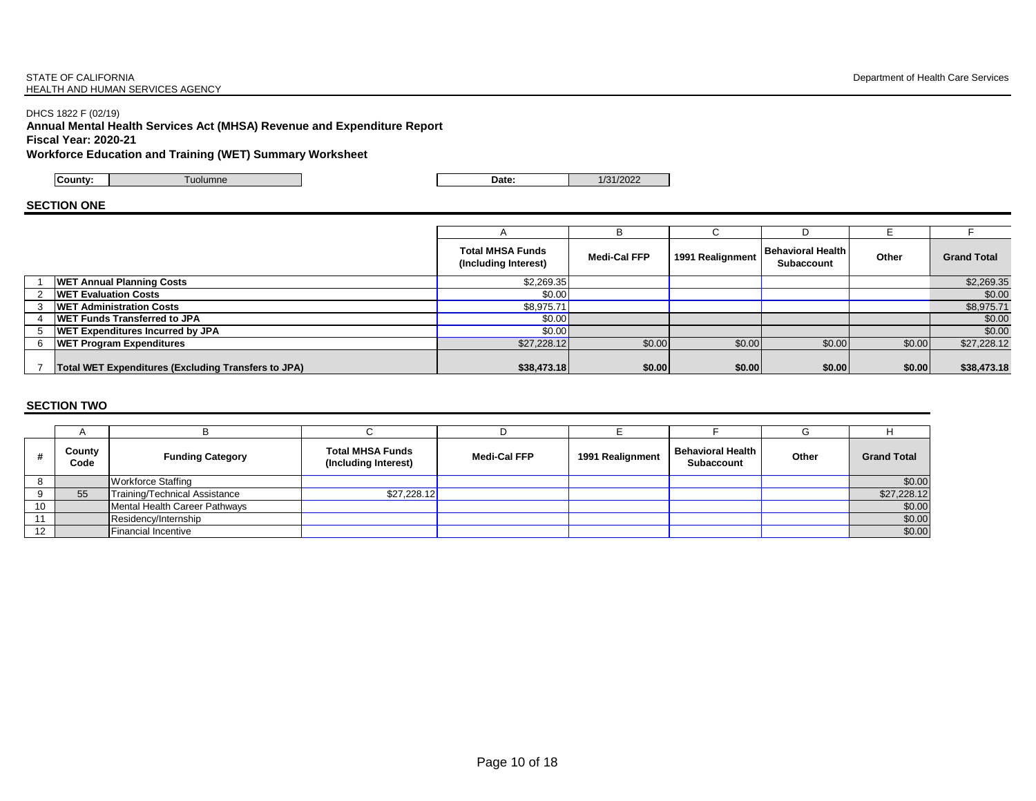#### STATE OF CALIFORNIA **STATE OF CALIFORNIA** Department of Health Care Services HEALTH AND HUMAN SERVICES AGENCY

### DHCS 1822 F (02/19)

**Annual Mental Health Services Act (MHSA) Revenue and Expenditure Report Fiscal Year: 2020-21**

**Workforce Education and Training (WET) Summary Worksheet**

**County:** Tuolumne **Date:** 1/31/2022

#### **SECTION ONE**

|                                                     |                                                 | в                   |                  |                                 |        |                    |
|-----------------------------------------------------|-------------------------------------------------|---------------------|------------------|---------------------------------|--------|--------------------|
|                                                     | <b>Total MHSA Funds</b><br>(Including Interest) | <b>Medi-Cal FFP</b> | 1991 Realignment | Behavioral Health<br>Subaccount | Other  | <b>Grand Total</b> |
| <b>WET Annual Planning Costs</b>                    | \$2,269.35                                      |                     |                  |                                 |        | \$2,269.35         |
| <b>WET Evaluation Costs</b>                         | \$0.00                                          |                     |                  |                                 |        | \$0.00             |
| <b>WET Administration Costs</b>                     | \$8,975.71                                      |                     |                  |                                 |        | \$8,975.71         |
| <b>WET Funds Transferred to JPA</b>                 | \$0.00                                          |                     |                  |                                 |        | \$0.00             |
| <b>WET Expenditures Incurred by JPA</b>             | \$0.00                                          |                     |                  |                                 |        | \$0.00             |
| <b>WET Program Expenditures</b>                     | \$27,228.12                                     | \$0.00              | \$0.00           | \$0.00                          | \$0.00 | \$27,228.12        |
| Total WET Expenditures (Excluding Transfers to JPA) | \$38,473.18                                     | \$0.00              | \$0.00           | \$0.00                          | \$0.00 | \$38,473.18        |

|    | County<br>Code | <b>Funding Category</b>              | <b>Total MHSA Funds</b><br>(Including Interest) | <b>Medi-Cal FFP</b> | 1991 Realignment | <b>Behavioral Health</b><br><b>Subaccount</b> | Other | <b>Grand Total</b> |
|----|----------------|--------------------------------------|-------------------------------------------------|---------------------|------------------|-----------------------------------------------|-------|--------------------|
|    |                | Workforce Staffing                   |                                                 |                     |                  |                                               |       | \$0.00             |
|    | 55             | <b>Training/Technical Assistance</b> | \$27,228.12                                     |                     |                  |                                               |       | \$27,228.12        |
| 10 |                | Mental Health Career Pathways        |                                                 |                     |                  |                                               |       | \$0.00             |
| 11 |                | Residency/Internship                 |                                                 |                     |                  |                                               |       | \$0.00             |
| 12 |                | <b>Financial Incentive</b>           |                                                 |                     |                  |                                               |       | \$0.00             |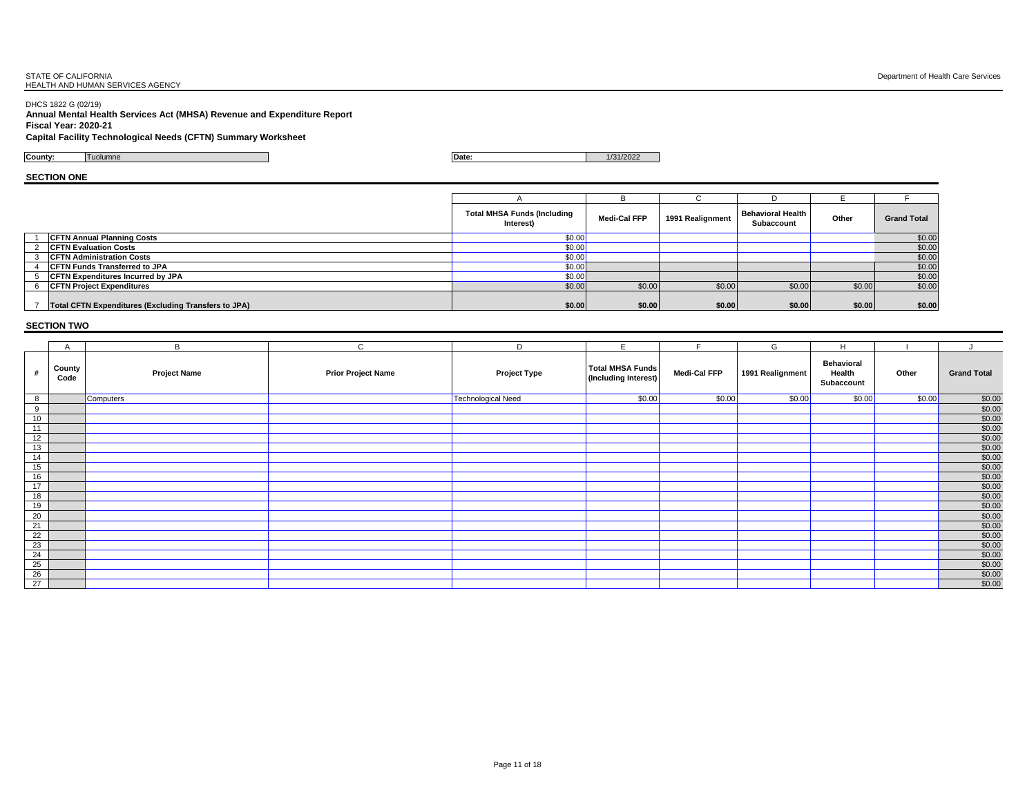DHCS 1822 G (02/19) **Annual Mental Health Services Act (MHSA) Revenue and Expenditure Report Fiscal Year: 2020-21**

#### **Capital Facility Technological Needs (CFTN) Summary Worksheet**

**County:** Tuolumne **Date:** 1/31/2022

**SECTION ONE**

|                                                             | <b>Total MHSA Funds (Including</b><br>Interest) | Medi-Cal FFP | 1991 Realignment | <b>Behavioral Health</b><br><b>Subaccount</b> | Other  | <b>Grand Total</b> |
|-------------------------------------------------------------|-------------------------------------------------|--------------|------------------|-----------------------------------------------|--------|--------------------|
| <b>CFTN Annual Planning Costs</b>                           | \$0.00                                          |              |                  |                                               |        | \$0.00             |
| 2 CFTN Evaluation Costs                                     | \$0.00                                          |              |                  |                                               |        | \$0.00             |
| <b>CFTN Administration Costs</b>                            | \$0.00                                          |              |                  |                                               |        | \$0.00             |
| <b>CFTN Funds Transferred to JPA</b>                        | \$0.00                                          |              |                  |                                               |        | \$0.00             |
| <b>CFTN Expenditures Incurred by JPA</b>                    | \$0.00                                          |              |                  |                                               |        | \$0.00             |
| <b>CFTN Project Expenditures</b>                            | \$0.00                                          | \$0.00       | \$0.00           | \$0.00                                        | \$0.00 | \$0.00             |
| <b>Total CFTN Expenditures (Excluding Transfers to JPA)</b> | \$0.00                                          | \$0.00       | \$0.00           | \$0.00                                        | \$0.00 | \$0.00             |

|                 | A              | B                   | $\mathbf{C}$              | D                   | E                                               | $\blacksquare$      | G                | H                                         |        |                    |
|-----------------|----------------|---------------------|---------------------------|---------------------|-------------------------------------------------|---------------------|------------------|-------------------------------------------|--------|--------------------|
|                 | County<br>Code | <b>Project Name</b> | <b>Prior Project Name</b> | <b>Project Type</b> | <b>Total MHSA Funds</b><br>(Including Interest) | <b>Medi-Cal FFP</b> | 1991 Realignment | <b>Behavioral</b><br>Health<br>Subaccount | Other  | <b>Grand Total</b> |
| 8               |                | Computers           |                           | Technological Need  | \$0.00                                          | \$0.00              | \$0.00           | \$0.00                                    | \$0.00 | \$0.00             |
| $_{9}$          |                |                     |                           |                     |                                                 |                     |                  |                                           |        | \$0.00             |
| 10              |                |                     |                           |                     |                                                 |                     |                  |                                           |        | \$0.00             |
| 11              |                |                     |                           |                     |                                                 |                     |                  |                                           |        | \$0.00             |
| 12              |                |                     |                           |                     |                                                 |                     |                  |                                           |        | \$0.00             |
| 13              |                |                     |                           |                     |                                                 |                     |                  |                                           |        | \$0.00             |
| $\sqrt{14}$     |                |                     |                           |                     |                                                 |                     |                  |                                           |        | \$0.00             |
| 15              |                |                     |                           |                     |                                                 |                     |                  |                                           |        | \$0.00             |
| 16              |                |                     |                           |                     |                                                 |                     |                  |                                           |        | \$0.00             |
| 17              |                |                     |                           |                     |                                                 |                     |                  |                                           |        | \$0.00             |
| 18              |                |                     |                           |                     |                                                 |                     |                  |                                           |        | \$0.00             |
| 19              |                |                     |                           |                     |                                                 |                     |                  |                                           |        | \$0.00             |
| 20              |                |                     |                           |                     |                                                 |                     |                  |                                           |        | \$0.00             |
| 21              |                |                     |                           |                     |                                                 |                     |                  |                                           |        | \$0.00             |
| $\overline{22}$ |                |                     |                           |                     |                                                 |                     |                  |                                           |        | \$0.00             |
| $2\overline{3}$ |                |                     |                           |                     |                                                 |                     |                  |                                           |        | \$0.00             |
| 24              |                |                     |                           |                     |                                                 |                     |                  |                                           |        | \$0.00             |
| 25              |                |                     |                           |                     |                                                 |                     |                  |                                           |        | \$0.00             |
| $\overline{26}$ |                |                     |                           |                     |                                                 |                     |                  |                                           |        | \$0.00             |
| 27              |                |                     |                           |                     |                                                 |                     |                  |                                           |        | \$0.00             |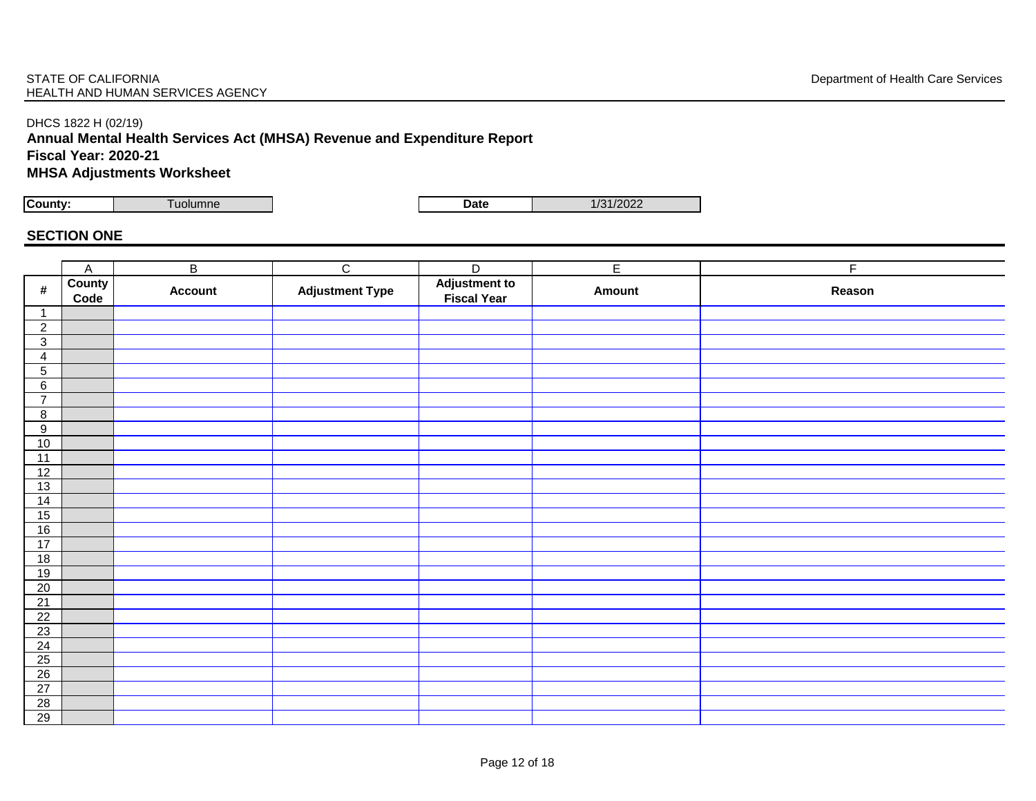## DHCS 1822 H (02/19)

**Annual Mental Health Services Act (MHSA) Revenue and Expenditure Report**

**Fiscal Year: 2020-21**

**MHSA Adjustments Worksheet** 

**County:** Tuolumne **Date** 1/31/2022

## **SECTION ONE**

|                                 | $\mathsf{A}$          | $\overline{B}$ | $\overline{C}$         | $\overline{D}$                      | $\overline{E}$ | $\overline{F}$ |
|---------------------------------|-----------------------|----------------|------------------------|-------------------------------------|----------------|----------------|
| $\pmb{\#}$                      | <b>County</b><br>Code | <b>Account</b> | <b>Adjustment Type</b> | <b>Adjustment to</b><br>Fiscal Year | Amount         | Reason         |
| $\mathbf{1}$                    |                       |                |                        |                                     |                |                |
| $\overline{2}$                  |                       |                |                        |                                     |                |                |
| $\mathsf 3$                     |                       |                |                        |                                     |                |                |
| $\overline{4}$                  |                       |                |                        |                                     |                |                |
| $\overline{5}$                  |                       |                |                        |                                     |                |                |
| $\,6\,$                         |                       |                |                        |                                     |                |                |
| $\overline{7}$                  |                       |                |                        |                                     |                |                |
| $\bf 8$                         |                       |                |                        |                                     |                |                |
| $\overline{9}$                  |                       |                |                        |                                     |                |                |
| 10                              |                       |                |                        |                                     |                |                |
| $\overline{11}$                 |                       |                |                        |                                     |                |                |
| 12                              |                       |                |                        |                                     |                |                |
| 13                              |                       |                |                        |                                     |                |                |
| 14                              |                       |                |                        |                                     |                |                |
| 15                              |                       |                |                        |                                     |                |                |
| 16                              |                       |                |                        |                                     |                |                |
| 17                              |                       |                |                        |                                     |                |                |
| 18                              |                       |                |                        |                                     |                |                |
| 19                              |                       |                |                        |                                     |                |                |
| 20                              |                       |                |                        |                                     |                |                |
| $\frac{21}{22}$                 |                       |                |                        |                                     |                |                |
|                                 |                       |                |                        |                                     |                |                |
| 23                              |                       |                |                        |                                     |                |                |
| $\frac{24}{25}$ $\frac{25}{26}$ |                       |                |                        |                                     |                |                |
|                                 |                       |                |                        |                                     |                |                |
|                                 |                       |                |                        |                                     |                |                |
| 27                              |                       |                |                        |                                     |                |                |
| $\frac{28}{29}$                 |                       |                |                        |                                     |                |                |
|                                 |                       |                |                        |                                     |                |                |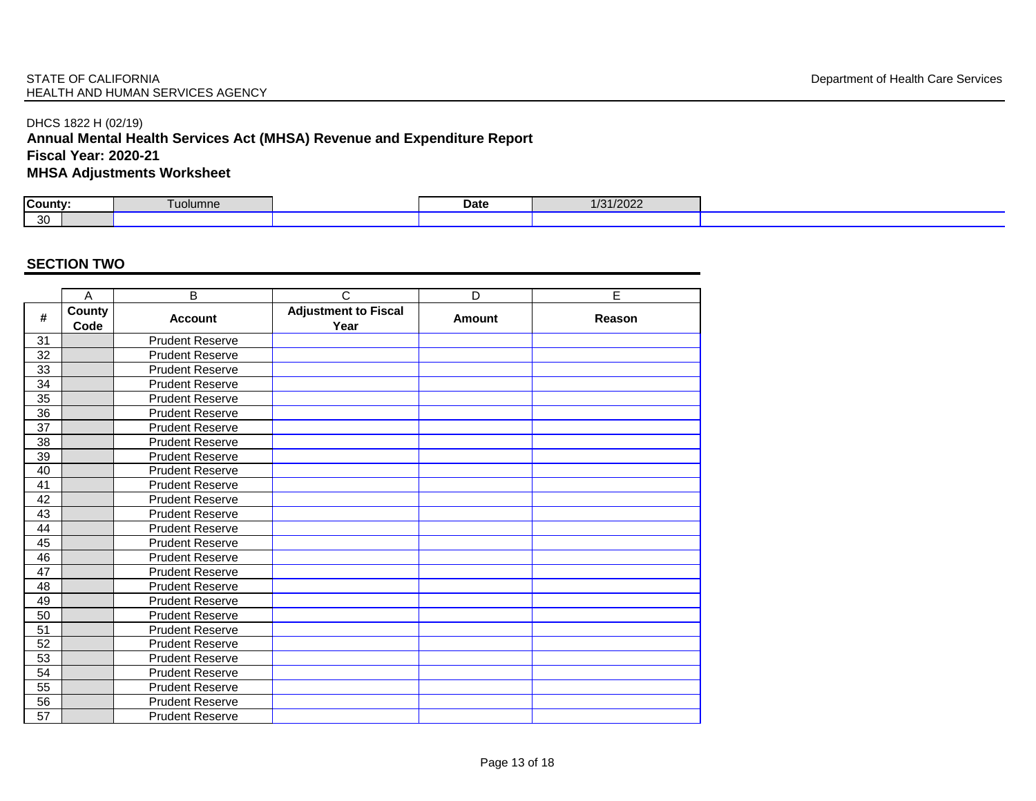### STATE OF CALIFORNIA **Example 20** STATE OF CALIFORNIA Department of Health Care Services HEALTH AND HUMAN SERVICES AGENCY

## DHCS 1822 H (02/19)

## **Annual Mental Health Services Act (MHSA) Revenue and Expenditure Report Fiscal Year: 2020-21**

**MHSA Adjustments Worksheet** 

| County: | I uolumne | Date | 1/31/2022 |
|---------|-----------|------|-----------|
| 30      |           |      |           |

|                 | A              | B                      | $\mathsf{C}$                        | D             | E      |
|-----------------|----------------|------------------------|-------------------------------------|---------------|--------|
| #               | County<br>Code | <b>Account</b>         | <b>Adjustment to Fiscal</b><br>Year | <b>Amount</b> | Reason |
| 31              |                | <b>Prudent Reserve</b> |                                     |               |        |
| 32              |                | <b>Prudent Reserve</b> |                                     |               |        |
| 33              |                | <b>Prudent Reserve</b> |                                     |               |        |
| 34              |                | <b>Prudent Reserve</b> |                                     |               |        |
| $\overline{35}$ |                | <b>Prudent Reserve</b> |                                     |               |        |
| 36              |                | <b>Prudent Reserve</b> |                                     |               |        |
| 37              |                | <b>Prudent Reserve</b> |                                     |               |        |
| 38              |                | <b>Prudent Reserve</b> |                                     |               |        |
| 39              |                | <b>Prudent Reserve</b> |                                     |               |        |
| 40              |                | <b>Prudent Reserve</b> |                                     |               |        |
| 41              |                | <b>Prudent Reserve</b> |                                     |               |        |
| 42              |                | <b>Prudent Reserve</b> |                                     |               |        |
| 43              |                | <b>Prudent Reserve</b> |                                     |               |        |
| 44              |                | <b>Prudent Reserve</b> |                                     |               |        |
| 45              |                | <b>Prudent Reserve</b> |                                     |               |        |
| 46              |                | <b>Prudent Reserve</b> |                                     |               |        |
| 47              |                | <b>Prudent Reserve</b> |                                     |               |        |
| 48              |                | <b>Prudent Reserve</b> |                                     |               |        |
| 49              |                | <b>Prudent Reserve</b> |                                     |               |        |
| 50              |                | <b>Prudent Reserve</b> |                                     |               |        |
| 51              |                | <b>Prudent Reserve</b> |                                     |               |        |
| 52              |                | <b>Prudent Reserve</b> |                                     |               |        |
| 53              |                | <b>Prudent Reserve</b> |                                     |               |        |
| 54              |                | <b>Prudent Reserve</b> |                                     |               |        |
| 55              |                | <b>Prudent Reserve</b> |                                     |               |        |
| 56              |                | <b>Prudent Reserve</b> |                                     |               |        |
| 57              |                | <b>Prudent Reserve</b> |                                     |               |        |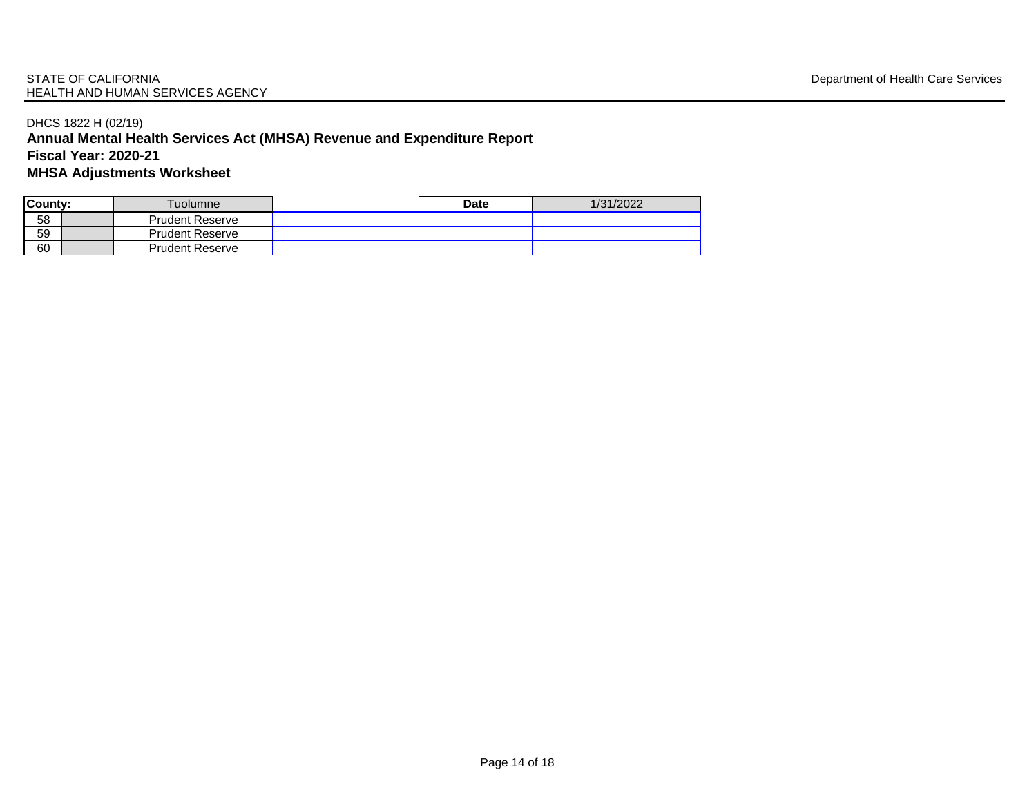## DHCS 1822 H (02/19) **Annual Mental Health Services Act (MHSA) Revenue and Expenditure Report Fiscal Year: 2020-21 MHSA Adjustments Worksheet**

| County:         |  | Tuolumne∖              | <b>Date</b> | 1/31/2022 |  |
|-----------------|--|------------------------|-------------|-----------|--|
| 58              |  | <b>Prudent Reserve</b> |             |           |  |
| $\overline{59}$ |  | <b>Prudent Reserve</b> |             |           |  |
| 60              |  | <b>Prudent Reserve</b> |             |           |  |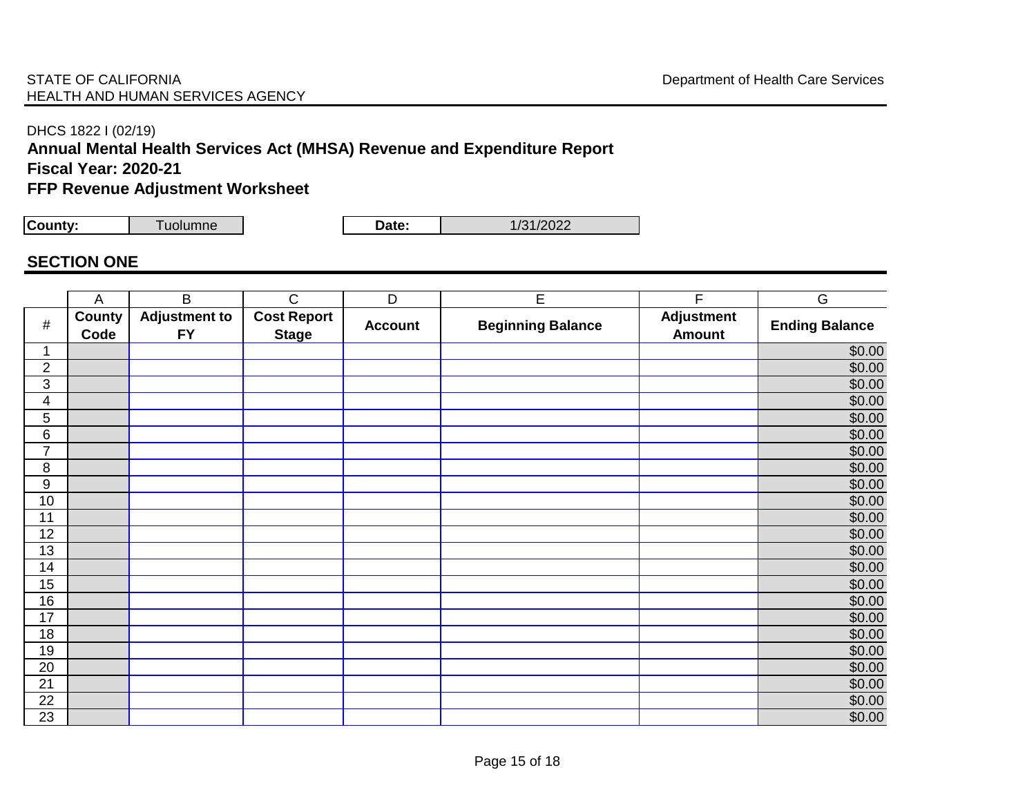DHCS 1822 I (02/19)

## **Annual Mental Health Services Act (MHSA) Revenue and Expenditure Report Fiscal Year: 2020-21**

## **FFP Revenue Adjustment Worksheet**

**County:** Tuolumne **Date:** 1/31/2022

## **SECTION ONE**

|                  | $\mathsf{A}$          | $\overline{B}$                    | $\overline{\text{C}}$              | $\overline{D}$ | E                        | F                                  | G                     |
|------------------|-----------------------|-----------------------------------|------------------------------------|----------------|--------------------------|------------------------------------|-----------------------|
| $\#$             | <b>County</b><br>Code | <b>Adjustment to</b><br><b>FY</b> | <b>Cost Report</b><br><b>Stage</b> | <b>Account</b> | <b>Beginning Balance</b> | <b>Adjustment</b><br><b>Amount</b> | <b>Ending Balance</b> |
| 1                |                       |                                   |                                    |                |                          |                                    | \$0.00                |
| $\boldsymbol{2}$ |                       |                                   |                                    |                |                          |                                    | \$0.00                |
| $\sqrt{3}$       |                       |                                   |                                    |                |                          |                                    | \$0.00                |
| 4                |                       |                                   |                                    |                |                          |                                    | \$0.00                |
| 5                |                       |                                   |                                    |                |                          |                                    | \$0.00                |
| 6                |                       |                                   |                                    |                |                          |                                    | \$0.00                |
| $\overline{7}$   |                       |                                   |                                    |                |                          |                                    | \$0.00                |
| 8                |                       |                                   |                                    |                |                          |                                    | \$0.00                |
| 9                |                       |                                   |                                    |                |                          |                                    | \$0.00                |
| 10               |                       |                                   |                                    |                |                          |                                    | \$0.00                |
| 11               |                       |                                   |                                    |                |                          |                                    | \$0.00                |
| 12               |                       |                                   |                                    |                |                          |                                    | \$0.00                |
| 13               |                       |                                   |                                    |                |                          |                                    | \$0.00                |
| 14               |                       |                                   |                                    |                |                          |                                    | \$0.00                |
| 15               |                       |                                   |                                    |                |                          |                                    | \$0.00                |
| 16               |                       |                                   |                                    |                |                          |                                    | \$0.00                |
| 17               |                       |                                   |                                    |                |                          |                                    | \$0.00                |
| 18               |                       |                                   |                                    |                |                          |                                    | \$0.00                |
| 19               |                       |                                   |                                    |                |                          |                                    | \$0.00                |
| 20               |                       |                                   |                                    |                |                          |                                    | \$0.00                |
| 21               |                       |                                   |                                    |                |                          |                                    | \$0.00                |
| 22               |                       |                                   |                                    |                |                          |                                    | \$0.00                |
| $\overline{23}$  |                       |                                   |                                    |                |                          |                                    | \$0.00                |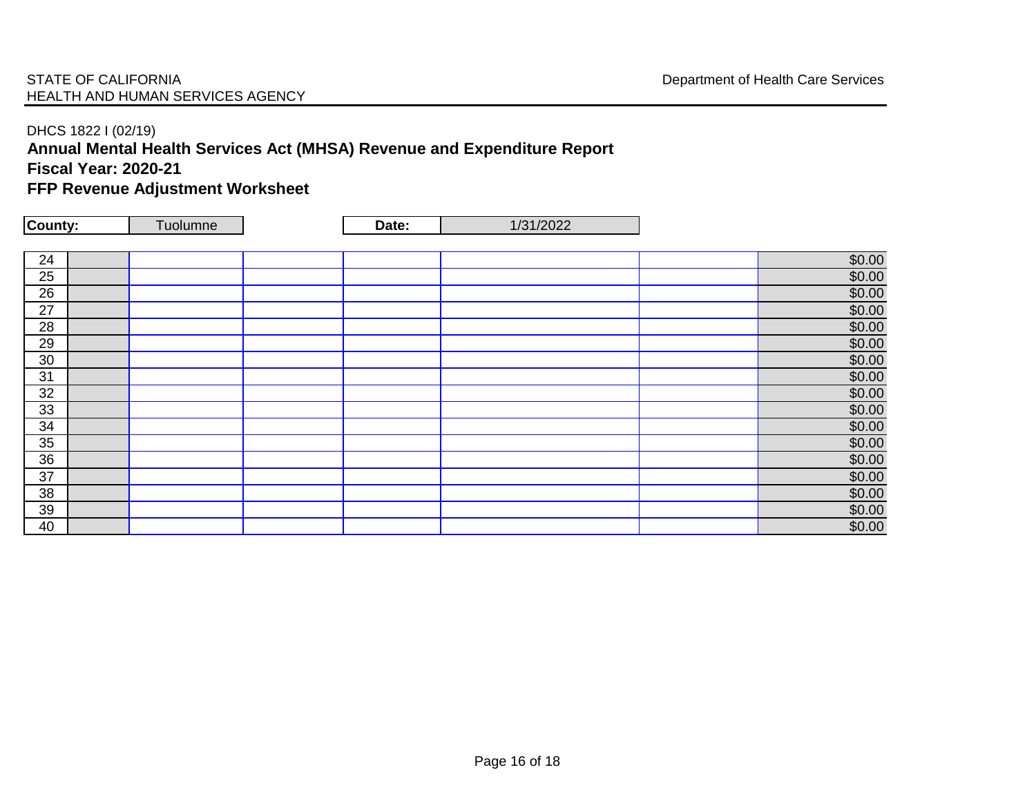## STATE OF CALIFORNIA **STATE OF CALIFORNIA Department of Health Care Services** HEALTH AND HUMAN SERVICES AGENCY

## DHCS 1822 I (02/19)

# **Annual Mental Health Services Act (MHSA) Revenue and Expenditure Report**

**Fiscal Year: 2020-21**

## **FFP Revenue Adjustment Worksheet**

| County: | Tuolumne | Date: | 1/31/2022 |        |
|---------|----------|-------|-----------|--------|
|         |          |       |           |        |
| 24      |          |       |           | \$0.00 |
| 25      |          |       |           | \$0.00 |
| 26      |          |       |           | \$0.00 |
| 27      |          |       |           | \$0.00 |
| 28      |          |       |           | \$0.00 |
| 29      |          |       |           | \$0.00 |
| 30      |          |       |           | \$0.00 |
| 31      |          |       |           | \$0.00 |
| 32      |          |       |           | \$0.00 |
| 33      |          |       |           | \$0.00 |
| 34      |          |       |           | \$0.00 |
| 35      |          |       |           | \$0.00 |
| 36      |          |       |           | \$0.00 |
| 37      |          |       |           | \$0.00 |
| 38      |          |       |           | \$0.00 |
| 39      |          |       |           | \$0.00 |
| 40      |          |       |           | \$0.00 |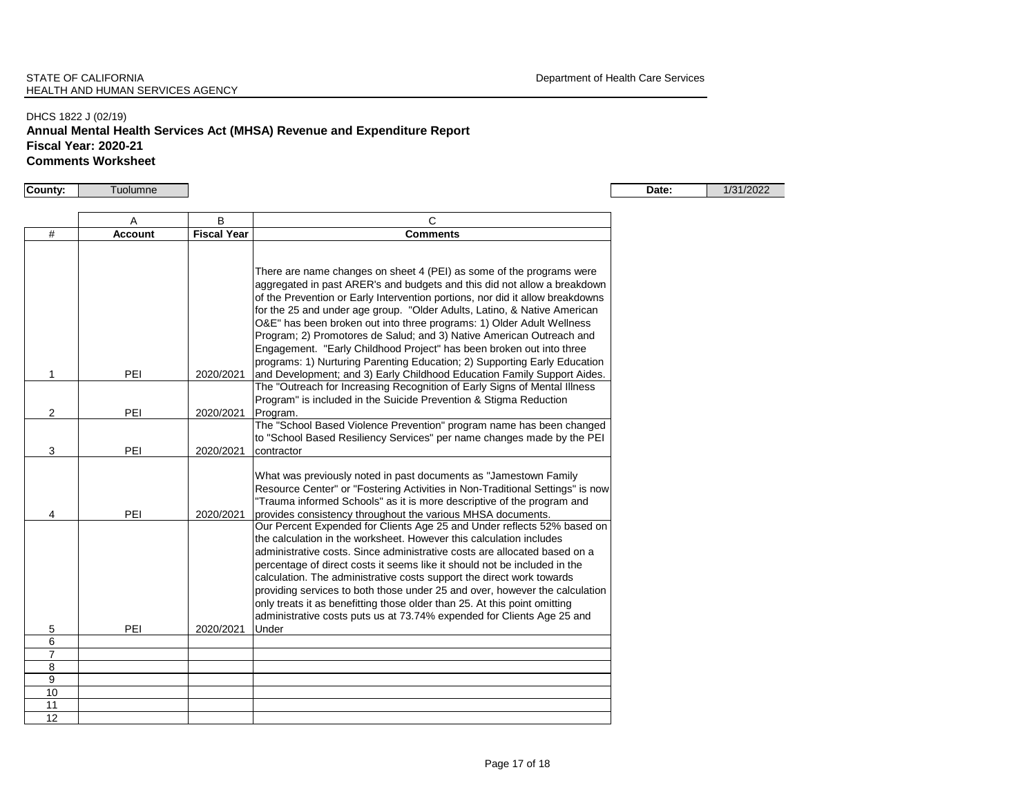### DHCS 1822 J (02/19) **Annual Mental Health Services Act (MHSA) Revenue and Expenditure Report Fiscal Year: 2020-21 Comments Worksheet**

**County:** Tuolumne **Date:** 1/31/2022

|                | A              | B                  | C                                                                                                                                                                                                                                                                                                                                                                                                                                                                                                                                                                                                                                |  |
|----------------|----------------|--------------------|----------------------------------------------------------------------------------------------------------------------------------------------------------------------------------------------------------------------------------------------------------------------------------------------------------------------------------------------------------------------------------------------------------------------------------------------------------------------------------------------------------------------------------------------------------------------------------------------------------------------------------|--|
| #              | <b>Account</b> | <b>Fiscal Year</b> | <b>Comments</b>                                                                                                                                                                                                                                                                                                                                                                                                                                                                                                                                                                                                                  |  |
|                |                |                    | There are name changes on sheet 4 (PEI) as some of the programs were<br>aggregated in past ARER's and budgets and this did not allow a breakdown<br>of the Prevention or Early Intervention portions, nor did it allow breakdowns<br>for the 25 and under age group. "Older Adults, Latino, & Native American<br>O&E" has been broken out into three programs: 1) Older Adult Wellness<br>Program; 2) Promotores de Salud; and 3) Native American Outreach and<br>Engagement. "Early Childhood Project" has been broken out into three<br>programs: 1) Nurturing Parenting Education; 2) Supporting Early Education              |  |
| 1              | PEI            | 2020/2021          | and Development; and 3) Early Childhood Education Family Support Aides.                                                                                                                                                                                                                                                                                                                                                                                                                                                                                                                                                          |  |
| $\overline{2}$ | PEI            | 2020/2021          | The "Outreach for Increasing Recognition of Early Signs of Mental Illness<br>Program" is included in the Suicide Prevention & Stigma Reduction<br>Program.                                                                                                                                                                                                                                                                                                                                                                                                                                                                       |  |
| 3              | PEI            | 2020/2021          | The "School Based Violence Prevention" program name has been changed<br>to "School Based Resiliency Services" per name changes made by the PEI<br>contractor                                                                                                                                                                                                                                                                                                                                                                                                                                                                     |  |
| 4              | PEI            | 2020/2021          | What was previously noted in past documents as "Jamestown Family<br>Resource Center" or "Fostering Activities in Non-Traditional Settings" is now<br>"Trauma informed Schools" as it is more descriptive of the program and<br>provides consistency throughout the various MHSA documents.                                                                                                                                                                                                                                                                                                                                       |  |
| 5              | PEI            | 2020/2021          | Our Percent Expended for Clients Age 25 and Under reflects 52% based on<br>the calculation in the worksheet. However this calculation includes<br>administrative costs. Since administrative costs are allocated based on a<br>percentage of direct costs it seems like it should not be included in the<br>calculation. The administrative costs support the direct work towards<br>providing services to both those under 25 and over, however the calculation<br>only treats it as benefitting those older than 25. At this point omitting<br>administrative costs puts us at 73.74% expended for Clients Age 25 and<br>Under |  |
| 6              |                |                    |                                                                                                                                                                                                                                                                                                                                                                                                                                                                                                                                                                                                                                  |  |
| $\overline{7}$ |                |                    |                                                                                                                                                                                                                                                                                                                                                                                                                                                                                                                                                                                                                                  |  |
| 8              |                |                    |                                                                                                                                                                                                                                                                                                                                                                                                                                                                                                                                                                                                                                  |  |
| 9              |                |                    |                                                                                                                                                                                                                                                                                                                                                                                                                                                                                                                                                                                                                                  |  |
| 10             |                |                    |                                                                                                                                                                                                                                                                                                                                                                                                                                                                                                                                                                                                                                  |  |
| 11             |                |                    |                                                                                                                                                                                                                                                                                                                                                                                                                                                                                                                                                                                                                                  |  |
| 12             |                |                    |                                                                                                                                                                                                                                                                                                                                                                                                                                                                                                                                                                                                                                  |  |